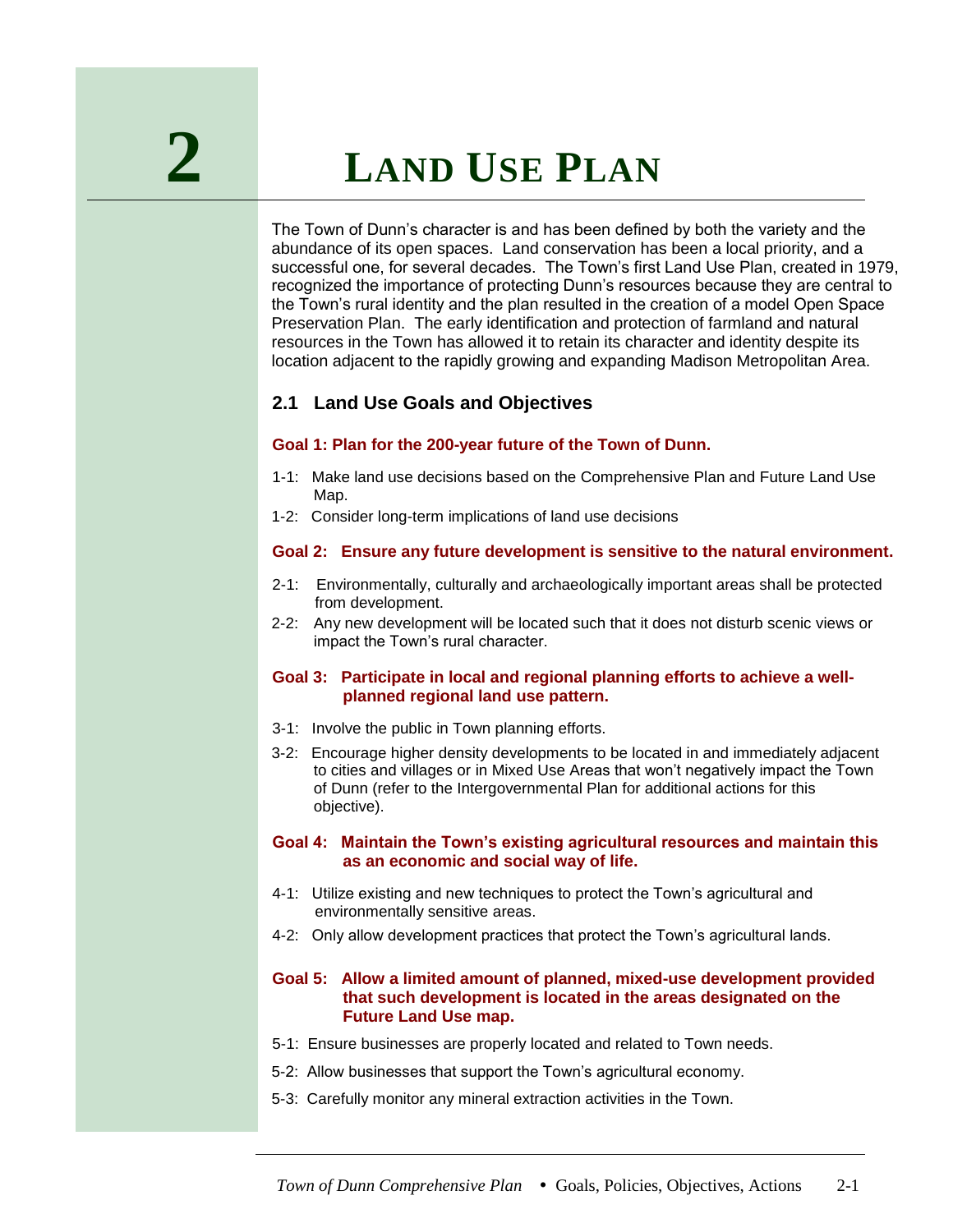The Town of Dunn's character is and has been defined by both the variety and the abundance of its open spaces. Land conservation has been a local priority, and a successful one, for several decades. The Town's first Land Use Plan, created in 1979, recognized the importance of protecting Dunn's resources because they are central to the Town's rural identity and the plan resulted in the creation of a model Open Space Preservation Plan. The early identification and protection of farmland and natural resources in the Town has allowed it to retain its character and identity despite its location adjacent to the rapidly growing and expanding Madison Metropolitan Area.

# **2.1 Land Use Goals and Objectives**

#### **Goal 1: Plan for the 200-year future of the Town of Dunn.**

- 1-1: Make land use decisions based on the Comprehensive Plan and Future Land Use Map.
- 1-2: Consider long-term implications of land use decisions

#### **Goal 2: Ensure any future development is sensitive to the natural environment.**

- 2-1:Environmentally, culturally and archaeologically important areas shall be protected from development.
- 2-2: Any new development will be located such that it does not disturb scenic views or impact the Town's rural character.

#### **Goal 3: Participate in local and regional planning efforts to achieve a wellplanned regional land use pattern.**

- 3-1: Involve the public in Town planning efforts.
- 3-2: Encourage higher density developments to be located in and immediately adjacent to cities and villages or in Mixed Use Areas that won't negatively impact the Town of Dunn (refer to the Intergovernmental Plan for additional actions for this objective).
- **Goal 4: Maintain the Town's existing agricultural resources and maintain this as an economic and social way of life.**
- 4-1: Utilize existing and new techniques to protect the Town's agricultural and environmentally sensitive areas.
- 4-2: Only allow development practices that protect the Town's agricultural lands.

#### **Goal 5: Allow a limited amount of planned, mixed-use development provided that such development is located in the areas designated on the Future Land Use map.**

- 5-1: Ensure businesses are properly located and related to Town needs.
- 5-2: Allow businesses that support the Town's agricultural economy.
- 5-3: Carefully monitor any mineral extraction activities in the Town.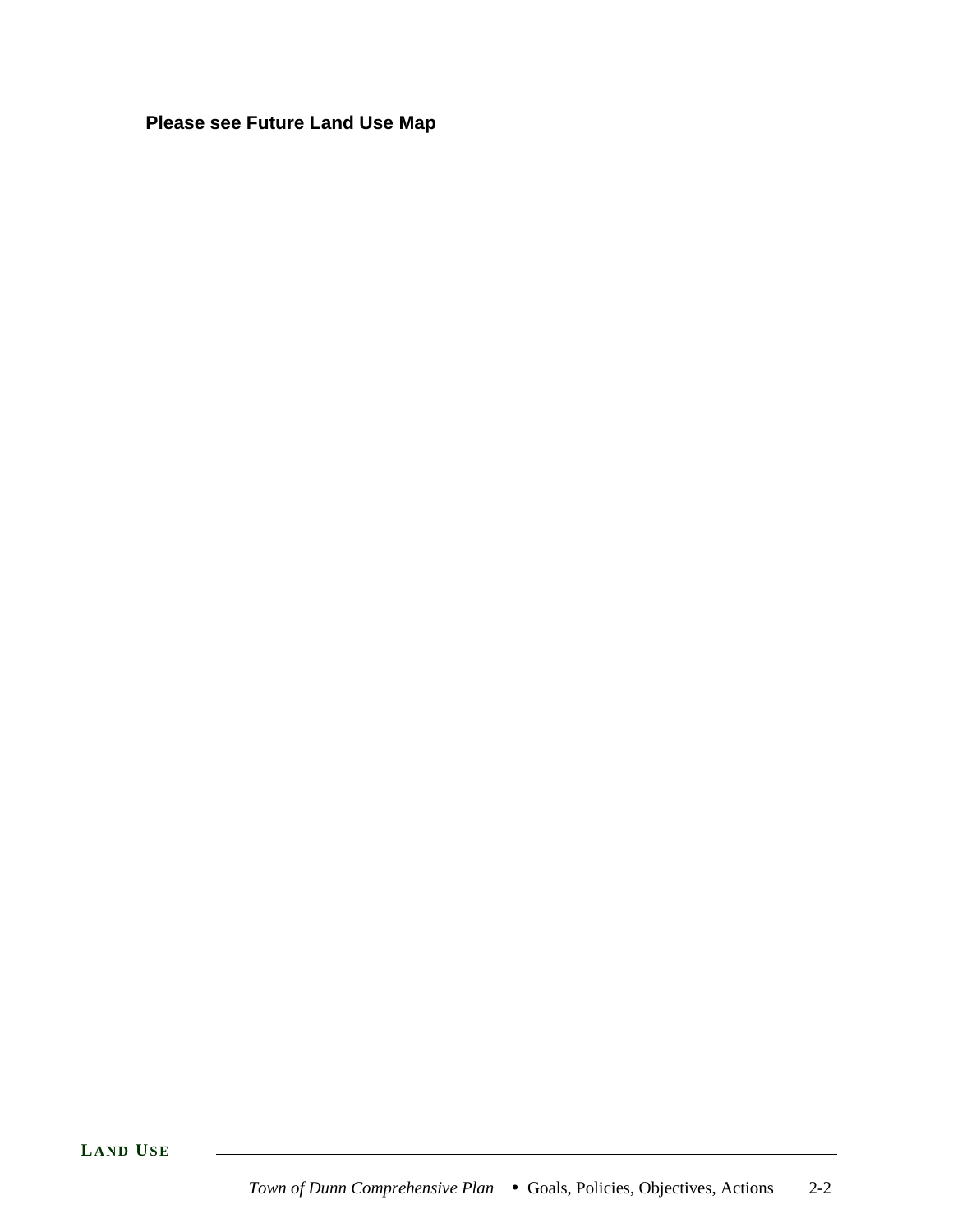# **Please see Future Land Use Map**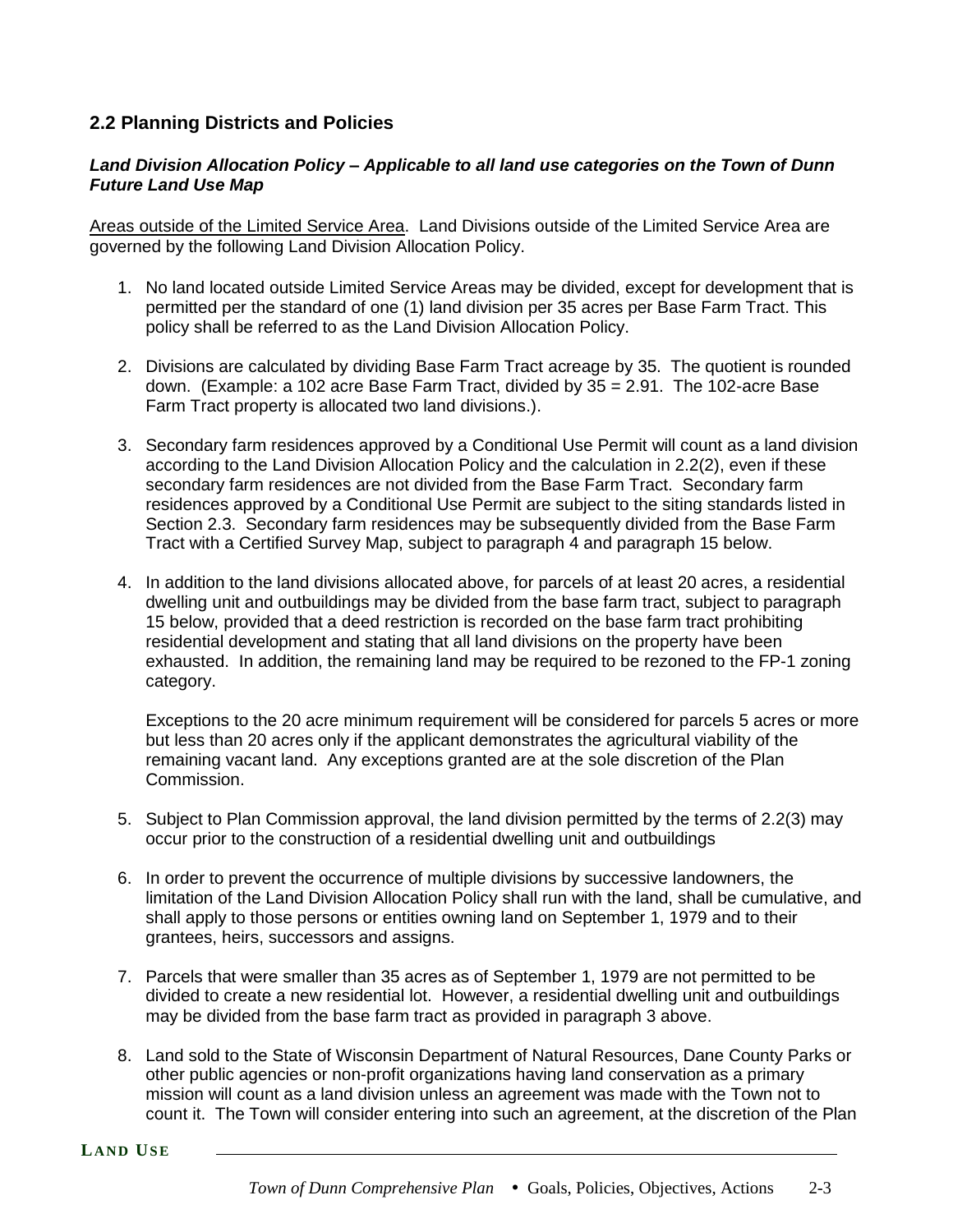# **2.2 Planning Districts and Policies**

### *Land Division Allocation Policy – Applicable to all land use categories on the Town of Dunn Future Land Use Map*

Areas outside of the Limited Service Area. Land Divisions outside of the Limited Service Area are governed by the following Land Division Allocation Policy.

- 1. No land located outside Limited Service Areas may be divided, except for development that is permitted per the standard of one (1) land division per 35 acres per Base Farm Tract. This policy shall be referred to as the Land Division Allocation Policy.
- 2. Divisions are calculated by dividing Base Farm Tract acreage by 35. The quotient is rounded down. (Example: a 102 acre Base Farm Tract, divided by 35 = 2.91. The 102-acre Base Farm Tract property is allocated two land divisions.).
- 3. Secondary farm residences approved by a Conditional Use Permit will count as a land division according to the Land Division Allocation Policy and the calculation in 2.2(2), even if these secondary farm residences are not divided from the Base Farm Tract. Secondary farm residences approved by a Conditional Use Permit are subject to the siting standards listed in Section 2.3. Secondary farm residences may be subsequently divided from the Base Farm Tract with a Certified Survey Map, subject to paragraph 4 and paragraph 15 below.
- 4. In addition to the land divisions allocated above, for parcels of at least 20 acres, a residential dwelling unit and outbuildings may be divided from the base farm tract, subject to paragraph 15 below, provided that a deed restriction is recorded on the base farm tract prohibiting residential development and stating that all land divisions on the property have been exhausted. In addition, the remaining land may be required to be rezoned to the FP-1 zoning category.

Exceptions to the 20 acre minimum requirement will be considered for parcels 5 acres or more but less than 20 acres only if the applicant demonstrates the agricultural viability of the remaining vacant land. Any exceptions granted are at the sole discretion of the Plan Commission.

- 5. Subject to Plan Commission approval, the land division permitted by the terms of 2.2(3) may occur prior to the construction of a residential dwelling unit and outbuildings
- 6. In order to prevent the occurrence of multiple divisions by successive landowners, the limitation of the Land Division Allocation Policy shall run with the land, shall be cumulative, and shall apply to those persons or entities owning land on September 1, 1979 and to their grantees, heirs, successors and assigns.
- 7. Parcels that were smaller than 35 acres as of September 1, 1979 are not permitted to be divided to create a new residential lot. However, a residential dwelling unit and outbuildings may be divided from the base farm tract as provided in paragraph 3 above.
- 8. Land sold to the State of Wisconsin Department of Natural Resources, Dane County Parks or other public agencies or non-profit organizations having land conservation as a primary mission will count as a land division unless an agreement was made with the Town not to count it. The Town will consider entering into such an agreement, at the discretion of the Plan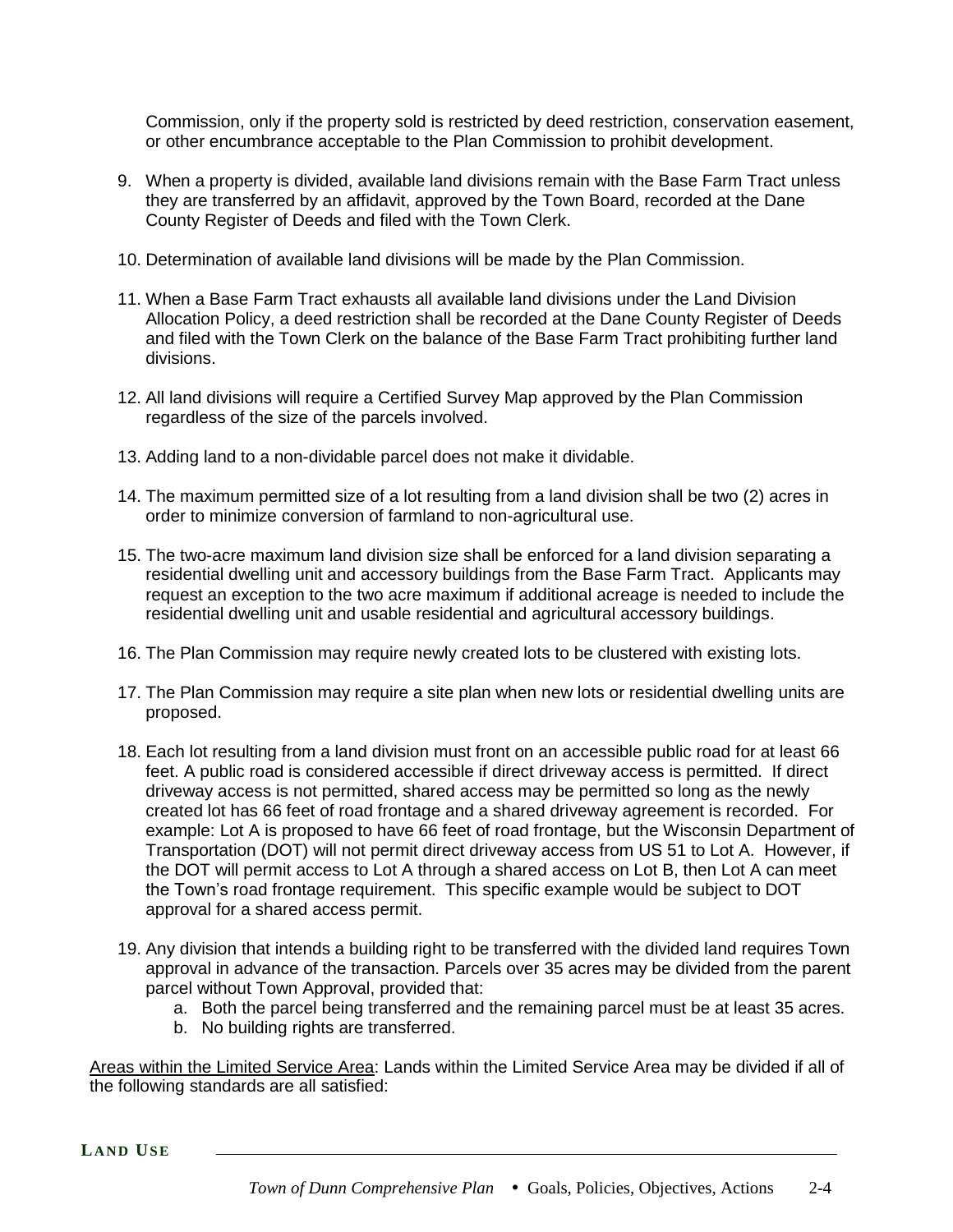Commission, only if the property sold is restricted by deed restriction, conservation easement, or other encumbrance acceptable to the Plan Commission to prohibit development.

- 9. When a property is divided, available land divisions remain with the Base Farm Tract unless they are transferred by an affidavit, approved by the Town Board, recorded at the Dane County Register of Deeds and filed with the Town Clerk.
- 10. Determination of available land divisions will be made by the Plan Commission.
- 11. When a Base Farm Tract exhausts all available land divisions under the Land Division Allocation Policy, a deed restriction shall be recorded at the Dane County Register of Deeds and filed with the Town Clerk on the balance of the Base Farm Tract prohibiting further land divisions.
- 12. All land divisions will require a Certified Survey Map approved by the Plan Commission regardless of the size of the parcels involved.
- 13. Adding land to a non-dividable parcel does not make it dividable.
- 14. The maximum permitted size of a lot resulting from a land division shall be two (2) acres in order to minimize conversion of farmland to non-agricultural use.
- 15. The two-acre maximum land division size shall be enforced for a land division separating a residential dwelling unit and accessory buildings from the Base Farm Tract. Applicants may request an exception to the two acre maximum if additional acreage is needed to include the residential dwelling unit and usable residential and agricultural accessory buildings.
- 16. The Plan Commission may require newly created lots to be clustered with existing lots.
- 17. The Plan Commission may require a site plan when new lots or residential dwelling units are proposed.
- 18. Each lot resulting from a land division must front on an accessible public road for at least 66 feet. A public road is considered accessible if direct driveway access is permitted. If direct driveway access is not permitted, shared access may be permitted so long as the newly created lot has 66 feet of road frontage and a shared driveway agreement is recorded. For example: Lot A is proposed to have 66 feet of road frontage, but the Wisconsin Department of Transportation (DOT) will not permit direct driveway access from US 51 to Lot A. However, if the DOT will permit access to Lot A through a shared access on Lot B, then Lot A can meet the Town's road frontage requirement. This specific example would be subject to DOT approval for a shared access permit.
- 19. Any division that intends a building right to be transferred with the divided land requires Town approval in advance of the transaction. Parcels over 35 acres may be divided from the parent parcel without Town Approval, provided that:
	- a. Both the parcel being transferred and the remaining parcel must be at least 35 acres.
	- b. No building rights are transferred.

Areas within the Limited Service Area: Lands within the Limited Service Area may be divided if all of the following standards are all satisfied: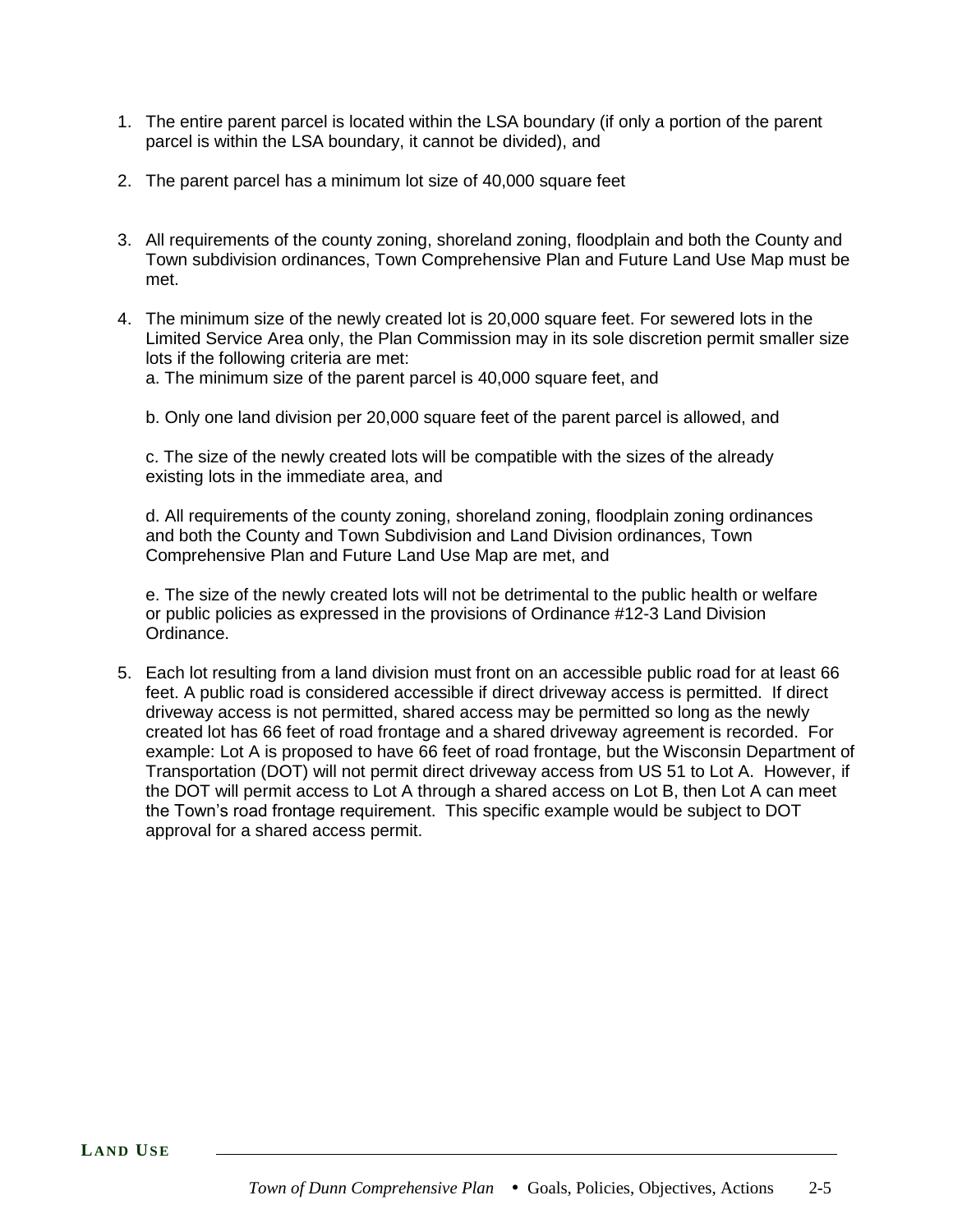- 1. The entire parent parcel is located within the LSA boundary (if only a portion of the parent parcel is within the LSA boundary, it cannot be divided), and
- 2. The parent parcel has a minimum lot size of 40,000 square feet
- 3. All requirements of the county zoning, shoreland zoning, floodplain and both the County and Town subdivision ordinances, Town Comprehensive Plan and Future Land Use Map must be met.
- 4. The minimum size of the newly created lot is 20,000 square feet. For sewered lots in the Limited Service Area only, the Plan Commission may in its sole discretion permit smaller size lots if the following criteria are met:
	- a. The minimum size of the parent parcel is 40,000 square feet, and
	- b. Only one land division per 20,000 square feet of the parent parcel is allowed, and

c. The size of the newly created lots will be compatible with the sizes of the already existing lots in the immediate area, and

d. All requirements of the county zoning, shoreland zoning, floodplain zoning ordinances and both the County and Town Subdivision and Land Division ordinances, Town Comprehensive Plan and Future Land Use Map are met, and

e. The size of the newly created lots will not be detrimental to the public health or welfare or public policies as expressed in the provisions of Ordinance #12-3 Land Division Ordinance.

5. Each lot resulting from a land division must front on an accessible public road for at least 66 feet. A public road is considered accessible if direct driveway access is permitted. If direct driveway access is not permitted, shared access may be permitted so long as the newly created lot has 66 feet of road frontage and a shared driveway agreement is recorded. For example: Lot A is proposed to have 66 feet of road frontage, but the Wisconsin Department of Transportation (DOT) will not permit direct driveway access from US 51 to Lot A. However, if the DOT will permit access to Lot A through a shared access on Lot B, then Lot A can meet the Town's road frontage requirement. This specific example would be subject to DOT approval for a shared access permit.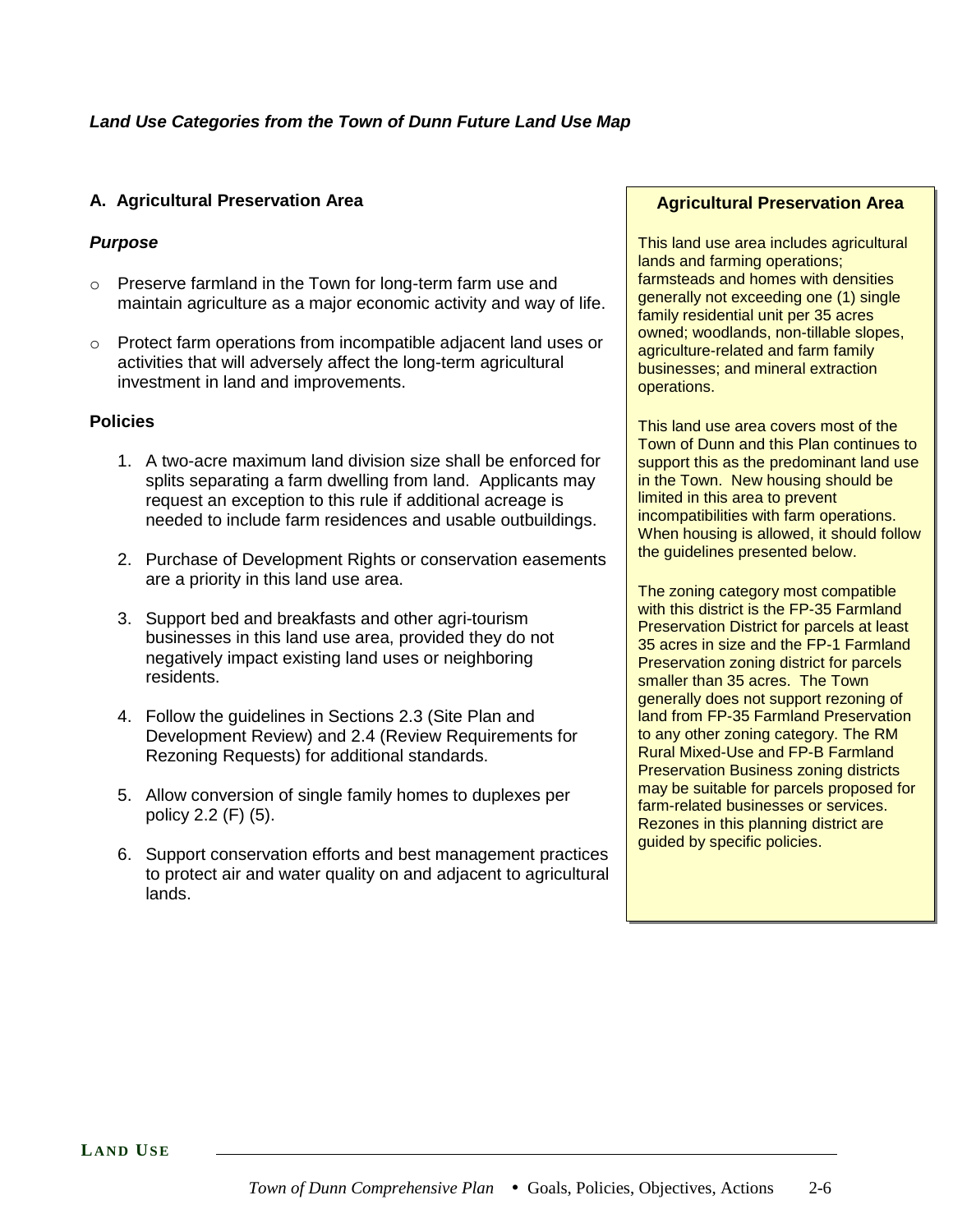### **A. Agricultural Preservation Area**

### *Purpose*

- o Preserve farmland in the Town for long-term farm use and maintain agriculture as a major economic activity and way of life.
- o Protect farm operations from incompatible adjacent land uses or activities that will adversely affect the long-term agricultural investment in land and improvements.

#### **Policies**

- 1. A two-acre maximum land division size shall be enforced for splits separating a farm dwelling from land. Applicants may request an exception to this rule if additional acreage is needed to include farm residences and usable outbuildings.
- 2. Purchase of Development Rights or conservation easements are a priority in this land use area.
- 3. Support bed and breakfasts and other agri-tourism businesses in this land use area, provided they do not negatively impact existing land uses or neighboring residents.
- 4. Follow the guidelines in Sections 2.3 (Site Plan and Development Review) and 2.4 (Review Requirements for Rezoning Requests) for additional standards.
- 5. Allow conversion of single family homes to duplexes per policy 2.2 (F) (5).
- 6. Support conservation efforts and best management practices to protect air and water quality on and adjacent to agricultural lands.

#### **Agricultural Preservation Area**

This land use area includes agricultural lands and farming operations; farmsteads and homes with densities generally not exceeding one (1) single family residential unit per 35 acres owned; woodlands, non-tillable slopes, agriculture-related and farm family businesses; and mineral extraction operations.

This land use area covers most of the Town of Dunn and this Plan continues to support this as the predominant land use in the Town. New housing should be limited in this area to prevent incompatibilities with farm operations. When housing is allowed, it should follow the guidelines presented below.

The zoning category most compatible with this district is the FP-35 Farmland Preservation District for parcels at least 35 acres in size and the FP-1 Farmland Preservation zoning district for parcels smaller than 35 acres. The Town generally does not support rezoning of land from FP-35 Farmland Preservation to any other zoning category. The RM Rural Mixed-Use and FP-B Farmland Preservation Business zoning districts may be suitable for parcels proposed for farm-related businesses or services. Rezones in this planning district are guided by specific policies.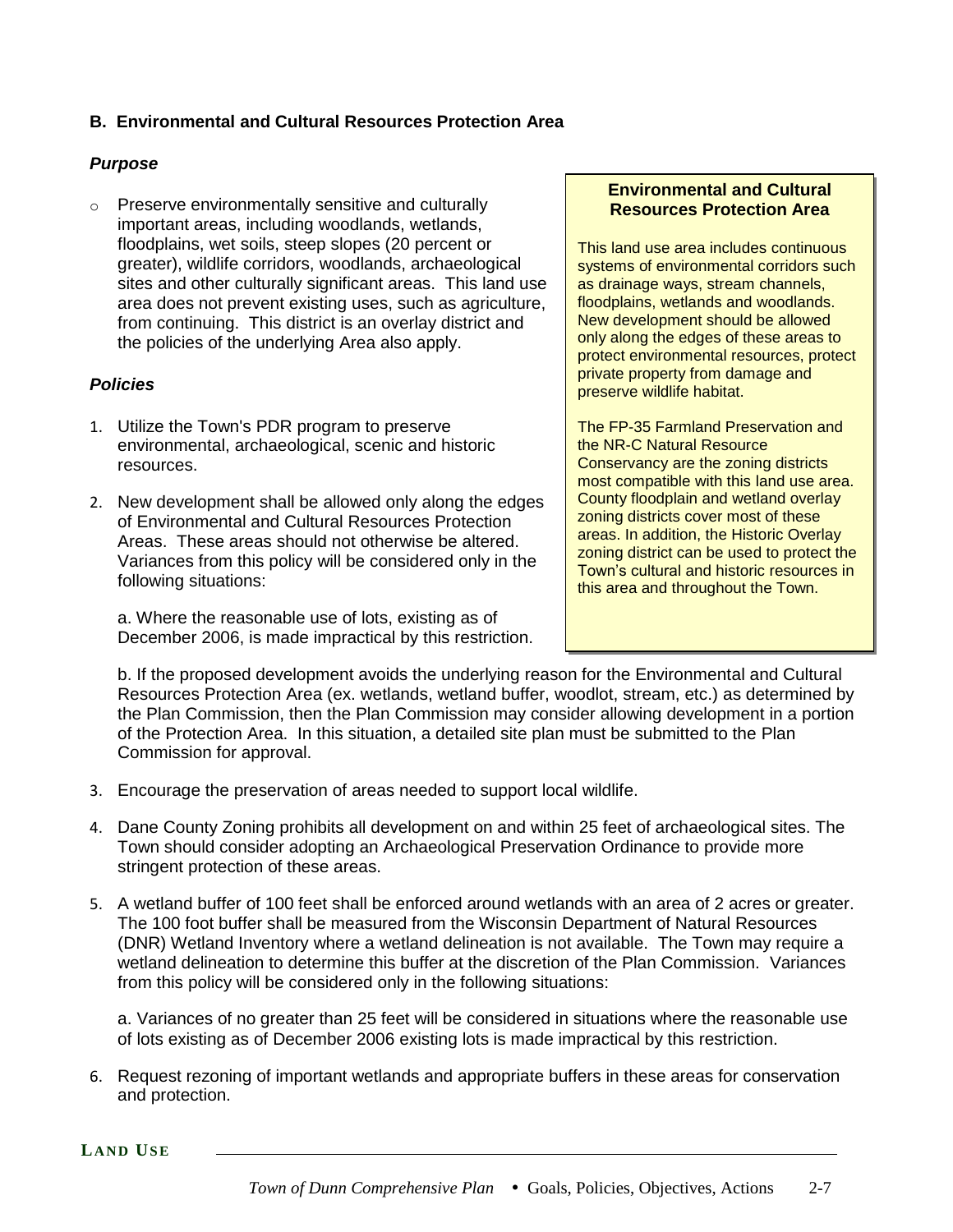### **B. Environmental and Cultural Resources Protection Area**

### *Purpose*

o Preserve environmentally sensitive and culturally important areas, including woodlands, wetlands, floodplains, wet soils, steep slopes (20 percent or greater), wildlife corridors, woodlands, archaeological sites and other culturally significant areas. This land use area does not prevent existing uses, such as agriculture, from continuing. This district is an overlay district and the policies of the underlying Area also apply.

### *Policies*

- 1. Utilize the Town's PDR program to preserve environmental, archaeological, scenic and historic resources.
- 2. New development shall be allowed only along the edges of Environmental and Cultural Resources Protection Areas. These areas should not otherwise be altered. Variances from this policy will be considered only in the following situations:

a. Where the reasonable use of lots, existing as of December 2006, is made impractical by this restriction.

#### **Environmental and Cultural Resources Protection Area**

This land use area includes continuous systems of environmental corridors such as drainage ways, stream channels, floodplains, wetlands and woodlands. New development should be allowed only along the edges of these areas to protect environmental resources, protect private property from damage and preserve wildlife habitat.

The FP-35 Farmland Preservation and the NR-C Natural Resource Conservancy are the zoning districts most compatible with this land use area. County floodplain and wetland overlay zoning districts cover most of these areas. In addition, the Historic Overlay zoning district can be used to protect the Town's cultural and historic resources in this area and throughout the Town.

b. If the proposed development avoids the underlying reason for the Environmental and Cultural Resources Protection Area (ex. wetlands, wetland buffer, woodlot, stream, etc.) as determined by the Plan Commission, then the Plan Commission may consider allowing development in a portion of the Protection Area. In this situation, a detailed site plan must be submitted to the Plan Commission for approval.

- 3. Encourage the preservation of areas needed to support local wildlife.
- 4. Dane County Zoning prohibits all development on and within 25 feet of archaeological sites. The Town should consider adopting an Archaeological Preservation Ordinance to provide more stringent protection of these areas.
- 5. A wetland buffer of 100 feet shall be enforced around wetlands with an area of 2 acres or greater. The 100 foot buffer shall be measured from the Wisconsin Department of Natural Resources (DNR) Wetland Inventory where a wetland delineation is not available. The Town may require a wetland delineation to determine this buffer at the discretion of the Plan Commission. Variances from this policy will be considered only in the following situations:

a. Variances of no greater than 25 feet will be considered in situations where the reasonable use of lots existing as of December 2006 existing lots is made impractical by this restriction.

6. Request rezoning of important wetlands and appropriate buffers in these areas for conservation and protection.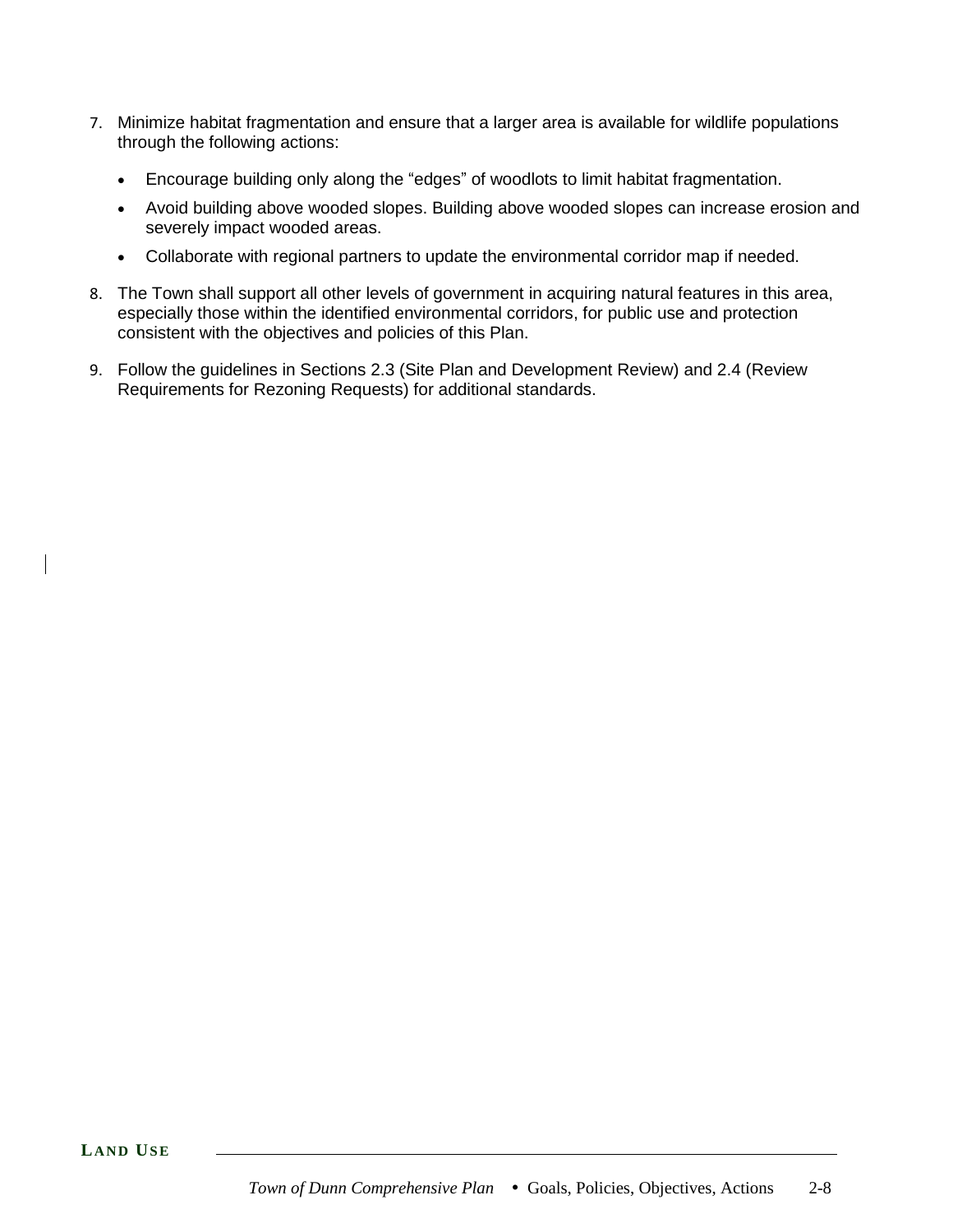- 7. Minimize habitat fragmentation and ensure that a larger area is available for wildlife populations through the following actions:
	- Encourage building only along the "edges" of woodlots to limit habitat fragmentation.
	- Avoid building above wooded slopes. Building above wooded slopes can increase erosion and severely impact wooded areas.
	- Collaborate with regional partners to update the environmental corridor map if needed.
- 8. The Town shall support all other levels of government in acquiring natural features in this area, especially those within the identified environmental corridors, for public use and protection consistent with the objectives and policies of this Plan.
- 9. Follow the guidelines in Sections 2.3 (Site Plan and Development Review) and 2.4 (Review Requirements for Rezoning Requests) for additional standards.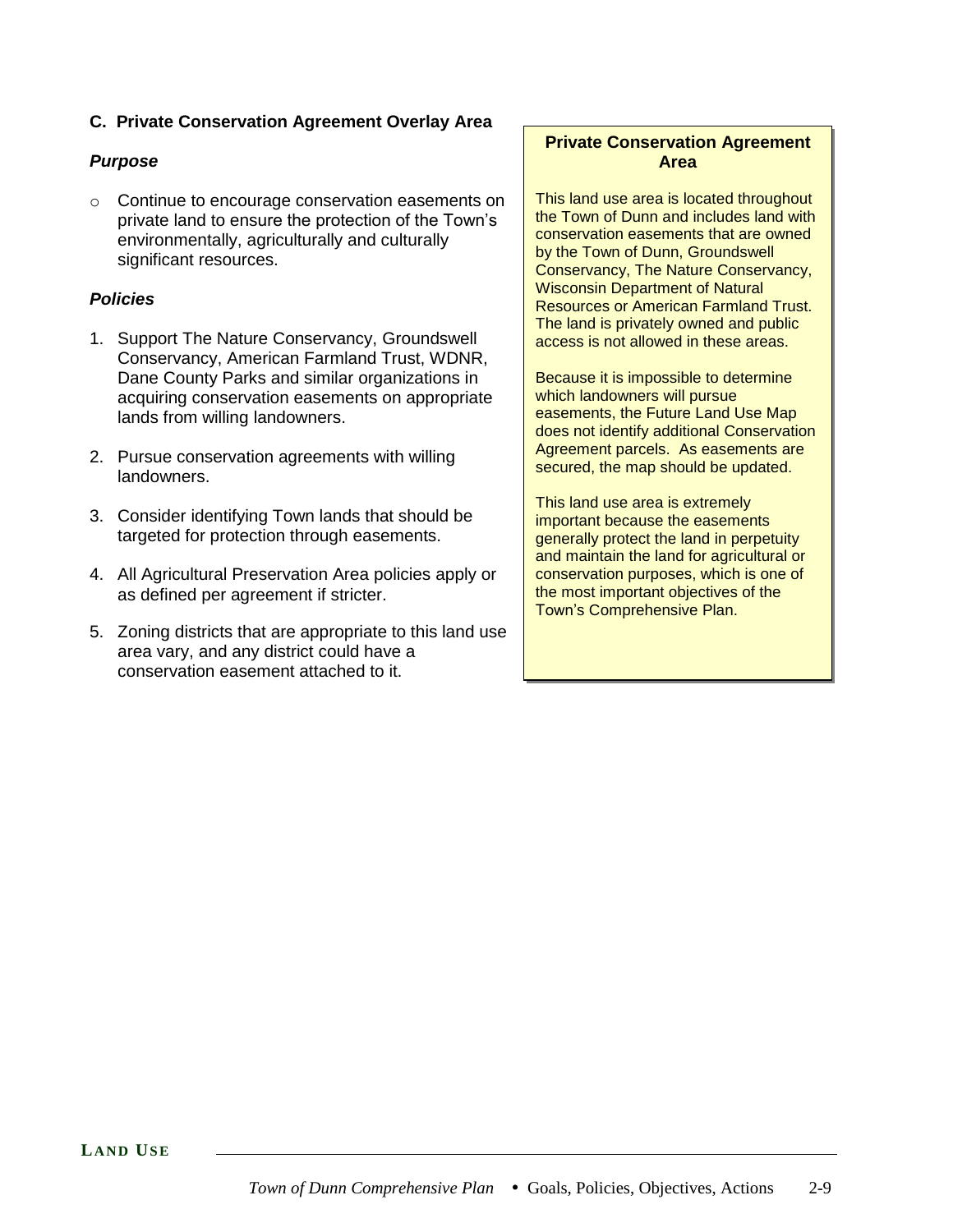### **C. Private Conservation Agreement Overlay Area**

### *Purpose*

o Continue to encourage conservation easements on private land to ensure the protection of the Town's environmentally, agriculturally and culturally significant resources.

#### *Policies*

- 1. Support The Nature Conservancy, Groundswell Conservancy, American Farmland Trust, WDNR, Dane County Parks and similar organizations in acquiring conservation easements on appropriate lands from willing landowners.
- 2. Pursue conservation agreements with willing landowners.
- 3. Consider identifying Town lands that should be targeted for protection through easements.
- 4. All Agricultural Preservation Area policies apply or as defined per agreement if stricter.
- 5. Zoning districts that are appropriate to this land use area vary, and any district could have a conservation easement attached to it.

### **Private Conservation Agreement Area**

This land use area is located throughout the Town of Dunn and includes land with conservation easements that are owned by the Town of Dunn, Groundswell Conservancy, The Nature Conservancy, Wisconsin Department of Natural Resources or American Farmland Trust. The land is privately owned and public access is not allowed in these areas.

Because it is impossible to determine which landowners will pursue easements, the Future Land Use Map does not identify additional Conservation Agreement parcels. As easements are secured, the map should be updated.

This land use area is extremely important because the easements generally protect the land in perpetuity and maintain the land for agricultural or conservation purposes, which is one of the most important objectives of the Town's Comprehensive Plan.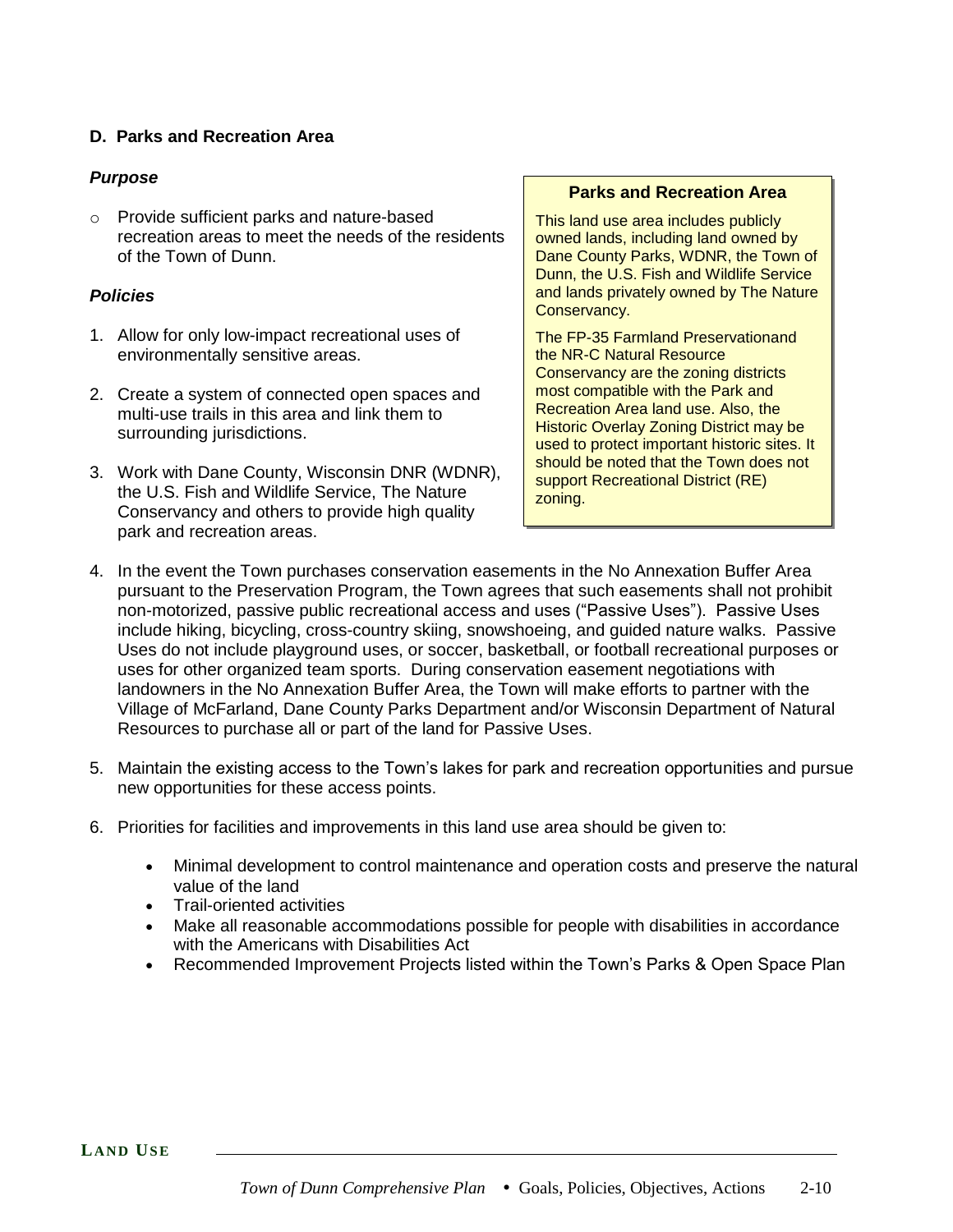### **D. Parks and Recreation Area**

#### *Purpose*

o Provide sufficient parks and nature-based recreation areas to meet the needs of the residents of the Town of Dunn.

#### *Policies*

- 1. Allow for only low-impact recreational uses of environmentally sensitive areas.
- 2. Create a system of connected open spaces and multi-use trails in this area and link them to surrounding jurisdictions.
- 3. Work with Dane County, Wisconsin DNR (WDNR), the U.S. Fish and Wildlife Service, The Nature Conservancy and others to provide high quality park and recreation areas.

#### **Parks and Recreation Area**

This land use area includes publicly owned lands, including land owned by Dane County Parks, WDNR, the Town of Dunn, the U.S. Fish and Wildlife Service and lands privately owned by The Nature Conservancy.

The FP-35 Farmland Preservationand the NR-C Natural Resource Conservancy are the zoning districts most compatible with the Park and Recreation Area land use. Also, the Historic Overlay Zoning District may be used to protect important historic sites. It should be noted that the Town does not support Recreational District (RE) zoning.

- 4. In the event the Town purchases conservation easements in the No Annexation Buffer Area pursuant to the Preservation Program, the Town agrees that such easements shall not prohibit non-motorized, passive public recreational access and uses ("Passive Uses"). Passive Uses include hiking, bicycling, cross-country skiing, snowshoeing, and guided nature walks. Passive Uses do not include playground uses, or soccer, basketball, or football recreational purposes or uses for other organized team sports. During conservation easement negotiations with landowners in the No Annexation Buffer Area, the Town will make efforts to partner with the Village of McFarland, Dane County Parks Department and/or Wisconsin Department of Natural Resources to purchase all or part of the land for Passive Uses.
- 5. Maintain the existing access to the Town's lakes for park and recreation opportunities and pursue new opportunities for these access points.
- 6. Priorities for facilities and improvements in this land use area should be given to:
	- Minimal development to control maintenance and operation costs and preserve the natural value of the land
	- Trail-oriented activities
	- Make all reasonable accommodations possible for people with disabilities in accordance with the Americans with Disabilities Act
	- Recommended Improvement Projects listed within the Town's Parks & Open Space Plan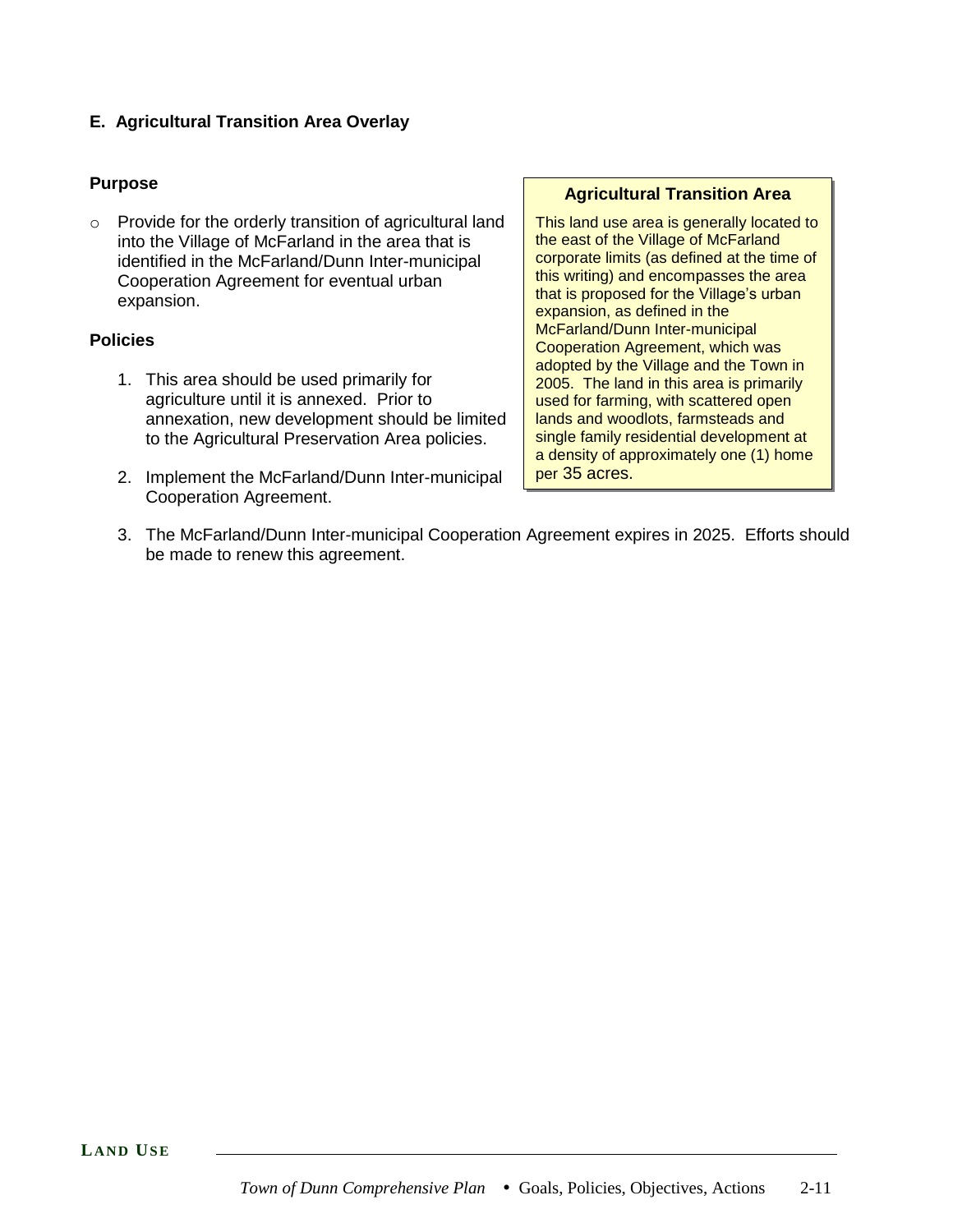### **E. Agricultural Transition Area Overlay**

#### **Purpose**

o Provide for the orderly transition of agricultural land into the Village of McFarland in the area that is identified in the McFarland/Dunn Inter-municipal Cooperation Agreement for eventual urban expansion.

#### **Policies**

- 1. This area should be used primarily for agriculture until it is annexed. Prior to annexation, new development should be limited to the Agricultural Preservation Area policies.
- 2. Implement the McFarland/Dunn Inter-municipal Cooperation Agreement.

#### **Agricultural Transition Area**

This land use area is generally located to the east of the Village of McFarland corporate limits (as defined at the time of this writing) and encompasses the area that is proposed for the Village's urban expansion, as defined in the McFarland/Dunn Inter-municipal Cooperation Agreement, which was adopted by the Village and the Town in 2005. The land in this area is primarily used for farming, with scattered open lands and woodlots, farmsteads and single family residential development at a density of approximately one (1) home per 35 acres.

3. The McFarland/Dunn Inter-municipal Cooperation Agreement expires in 2025. Efforts should be made to renew this agreement.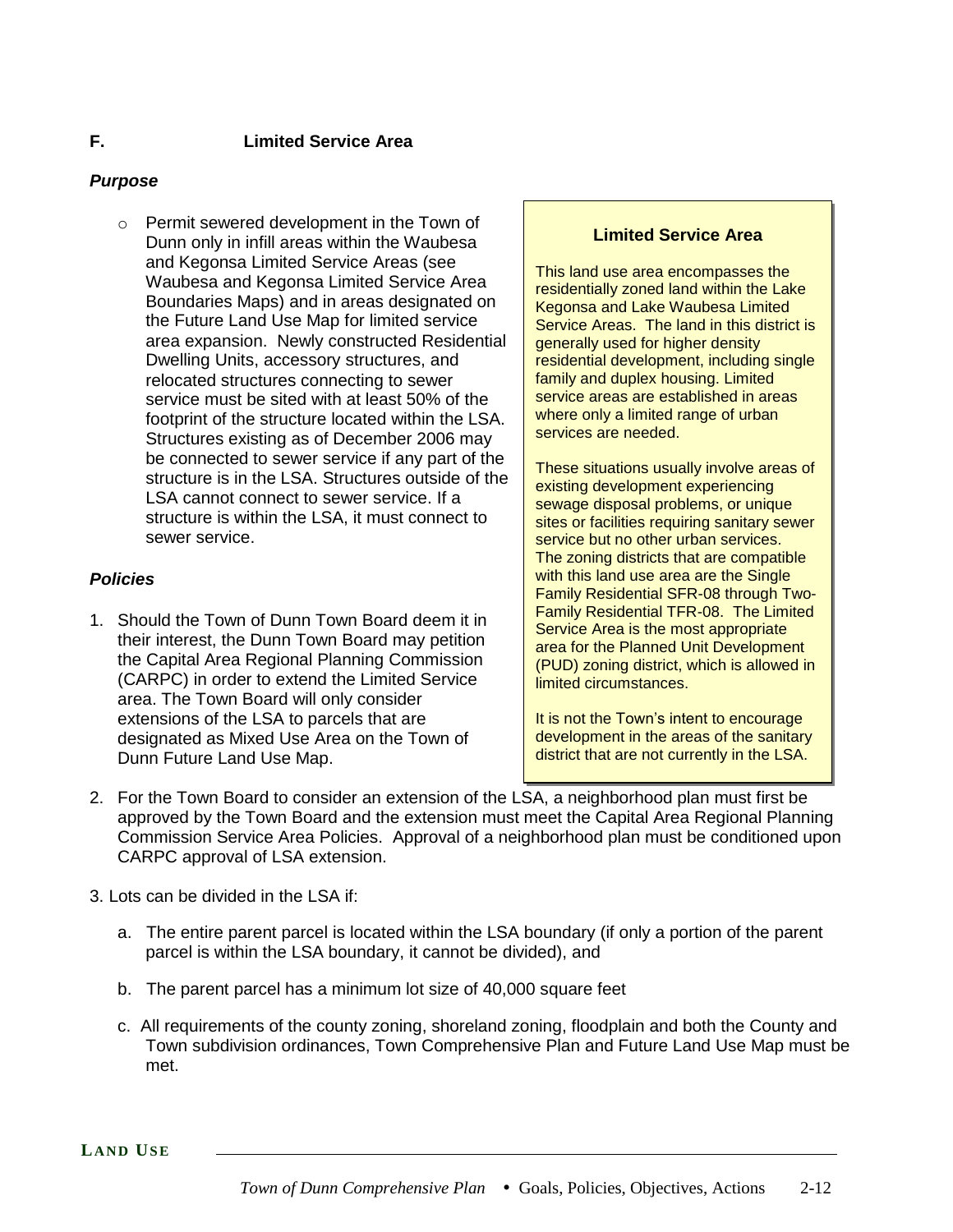#### **F. Limited Service Area**

### *Purpose*

o Permit sewered development in the Town of Dunn only in infill areas within the Waubesa and Kegonsa Limited Service Areas (see Waubesa and Kegonsa Limited Service Area Boundaries Maps) and in areas designated on the Future Land Use Map for limited service area expansion. Newly constructed Residential Dwelling Units, accessory structures, and relocated structures connecting to sewer service must be sited with at least 50% of the footprint of the structure located within the LSA. Structures existing as of December 2006 may be connected to sewer service if any part of the structure is in the LSA. Structures outside of the LSA cannot connect to sewer service. If a structure is within the LSA, it must connect to sewer service.

### *Policies*

1. Should the Town of Dunn Town Board deem it in their interest, the Dunn Town Board may petition the Capital Area Regional Planning Commission (CARPC) in order to extend the Limited Service area. The Town Board will only consider extensions of the LSA to parcels that are designated as Mixed Use Area on the Town of Dunn Future Land Use Map.

#### **Limited Service Area**

This land use area encompasses the residentially zoned land within the Lake Kegonsa and Lake Waubesa Limited Service Areas. The land in this district is generally used for higher density residential development, including single family and duplex housing. Limited service areas are established in areas where only a limited range of urban services are needed.

These situations usually involve areas of existing development experiencing sewage disposal problems, or unique sites or facilities requiring sanitary sewer service but no other urban services. The zoning districts that are compatible with this land use area are the Single Family Residential SFR-08 through Two-Family Residential TFR-08. The Limited Service Area is the most appropriate area for the Planned Unit Development (PUD) zoning district, which is allowed in limited circumstances.

It is not the Town's intent to encourage development in the areas of the sanitary district that are not currently in the LSA.

- 2. For the Town Board to consider an extension of the LSA, a neighborhood plan must first be approved by the Town Board and the extension must meet the Capital Area Regional Planning Commission Service Area Policies. Approval of a neighborhood plan must be conditioned upon CARPC approval of LSA extension.
- 3. Lots can be divided in the LSA if:
	- a. The entire parent parcel is located within the LSA boundary (if only a portion of the parent parcel is within the LSA boundary, it cannot be divided), and
	- b. The parent parcel has a minimum lot size of 40,000 square feet
	- c. All requirements of the county zoning, shoreland zoning, floodplain and both the County and Town subdivision ordinances, Town Comprehensive Plan and Future Land Use Map must be met.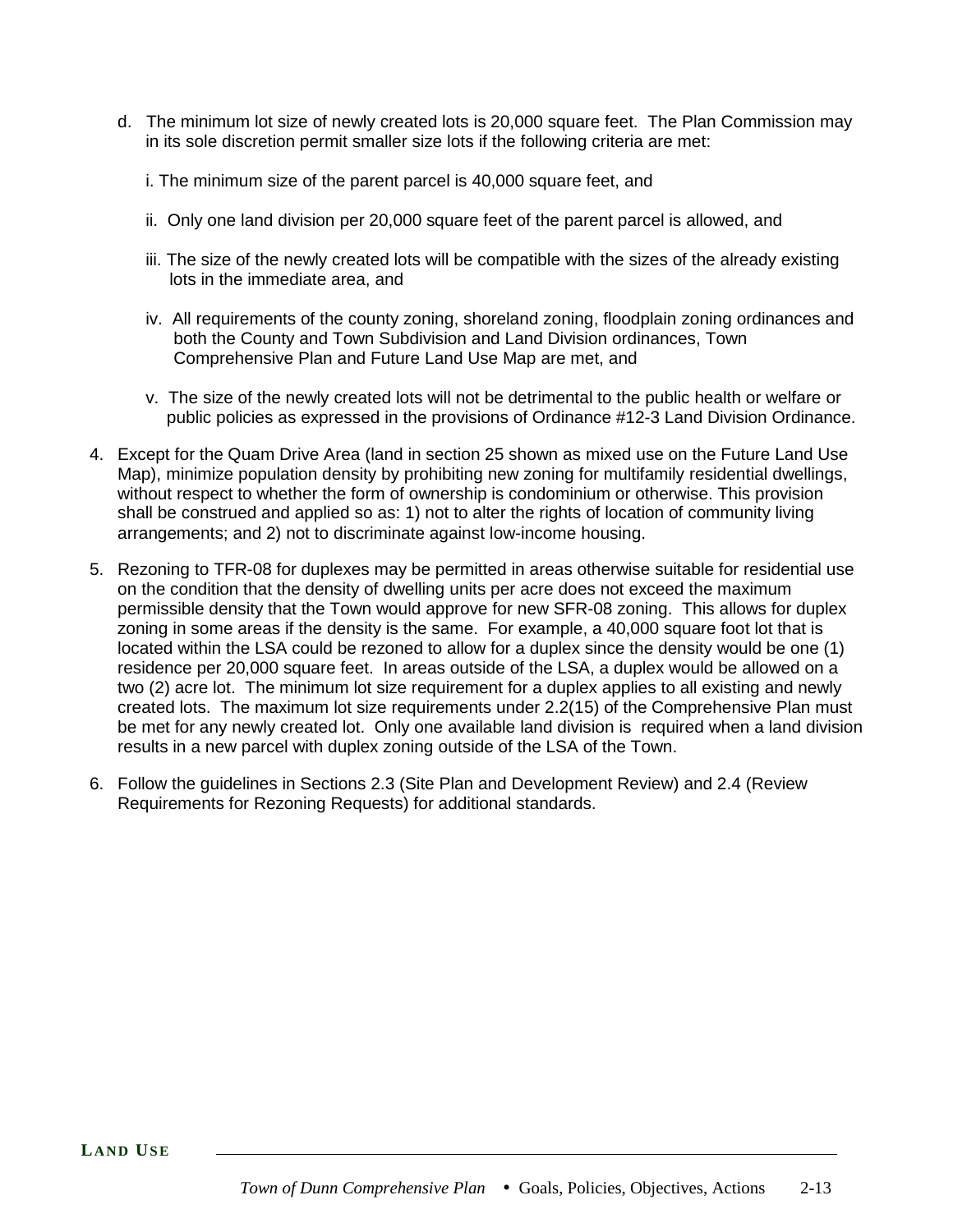- d. The minimum lot size of newly created lots is 20,000 square feet. The Plan Commission may in its sole discretion permit smaller size lots if the following criteria are met:
	- i. The minimum size of the parent parcel is 40,000 square feet, and
	- ii. Only one land division per 20,000 square feet of the parent parcel is allowed, and
	- iii. The size of the newly created lots will be compatible with the sizes of the already existing lots in the immediate area, and
	- iv. All requirements of the county zoning, shoreland zoning, floodplain zoning ordinances and both the County and Town Subdivision and Land Division ordinances, Town Comprehensive Plan and Future Land Use Map are met, and
	- v. The size of the newly created lots will not be detrimental to the public health or welfare or public policies as expressed in the provisions of Ordinance #12-3 Land Division Ordinance.
- 4. Except for the Quam Drive Area (land in section 25 shown as mixed use on the Future Land Use Map), minimize population density by prohibiting new zoning for multifamily residential dwellings, without respect to whether the form of ownership is condominium or otherwise. This provision shall be construed and applied so as: 1) not to alter the rights of location of community living arrangements; and 2) not to discriminate against low-income housing.
- 5. Rezoning to TFR-08 for duplexes may be permitted in areas otherwise suitable for residential use on the condition that the density of dwelling units per acre does not exceed the maximum permissible density that the Town would approve for new SFR-08 zoning. This allows for duplex zoning in some areas if the density is the same. For example, a 40,000 square foot lot that is located within the LSA could be rezoned to allow for a duplex since the density would be one (1) residence per 20,000 square feet. In areas outside of the LSA, a duplex would be allowed on a two (2) acre lot. The minimum lot size requirement for a duplex applies to all existing and newly created lots. The maximum lot size requirements under 2.2(15) of the Comprehensive Plan must be met for any newly created lot. Only one available land division is required when a land division results in a new parcel with duplex zoning outside of the LSA of the Town.
- 6. Follow the guidelines in Sections 2.3 (Site Plan and Development Review) and 2.4 (Review Requirements for Rezoning Requests) for additional standards.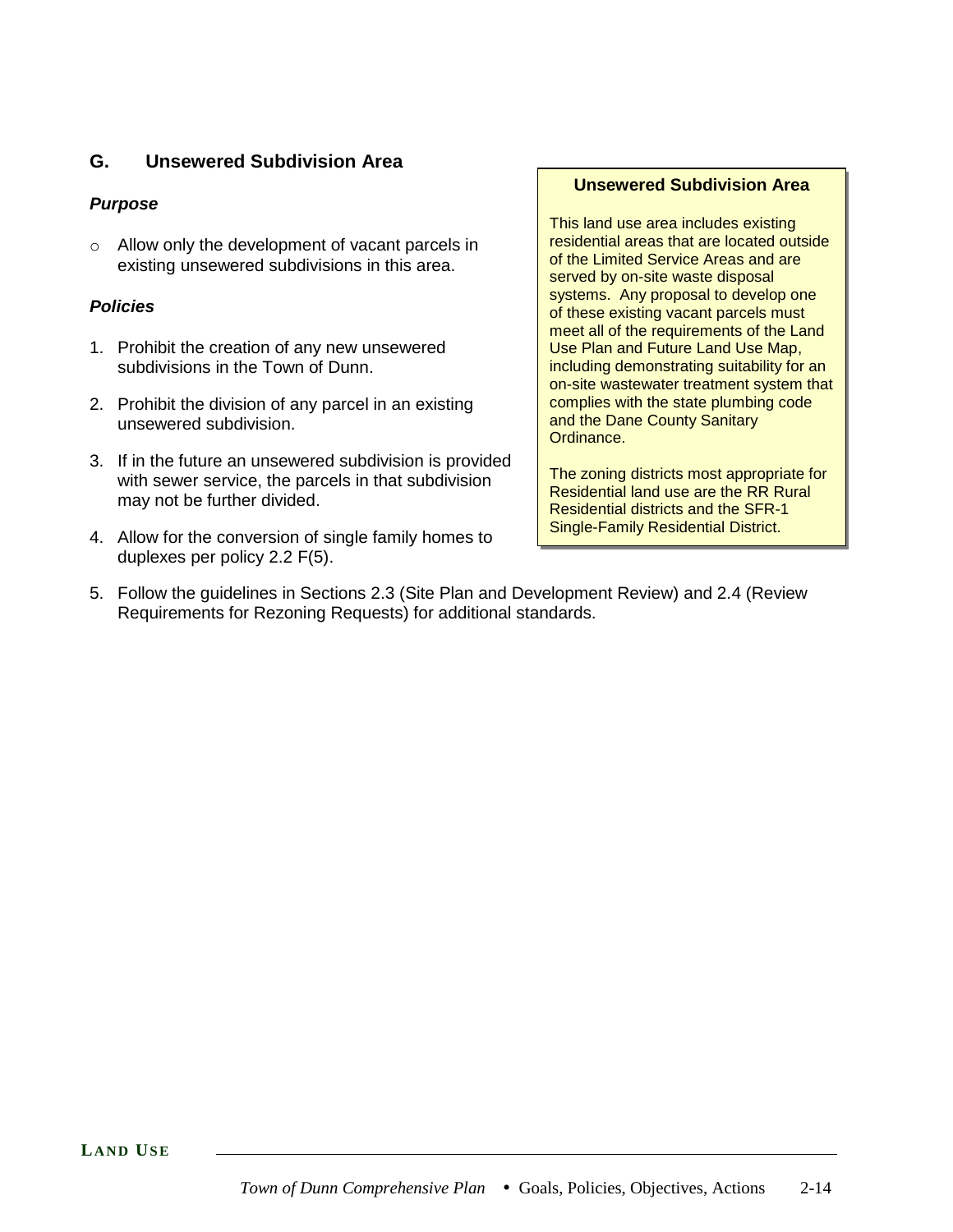### **G. Unsewered Subdivision Area**

### *Purpose*

o Allow only the development of vacant parcels in existing unsewered subdivisions in this area.

### *Policies*

- 1. Prohibit the creation of any new unsewered subdivisions in the Town of Dunn.
- 2. Prohibit the division of any parcel in an existing unsewered subdivision.
- 3. If in the future an unsewered subdivision is provided with sewer service, the parcels in that subdivision may not be further divided.
- 4. Allow for the conversion of single family homes to duplexes per policy 2.2 F(5).

#### **Unsewered Subdivision Area**

This land use area includes existing residential areas that are located outside of the Limited Service Areas and are served by on-site waste disposal systems. Any proposal to develop one of these existing vacant parcels must meet all of the requirements of the Land Use Plan and Future Land Use Map, including demonstrating suitability for an on-site wastewater treatment system that complies with the state plumbing code and the Dane County Sanitary Ordinance.

The zoning districts most appropriate for Residential land use are the RR Rural Residential districts and the SFR-1 Single-Family Residential District.

5. Follow the guidelines in Sections 2.3 (Site Plan and Development Review) and 2.4 (Review Requirements for Rezoning Requests) for additional standards.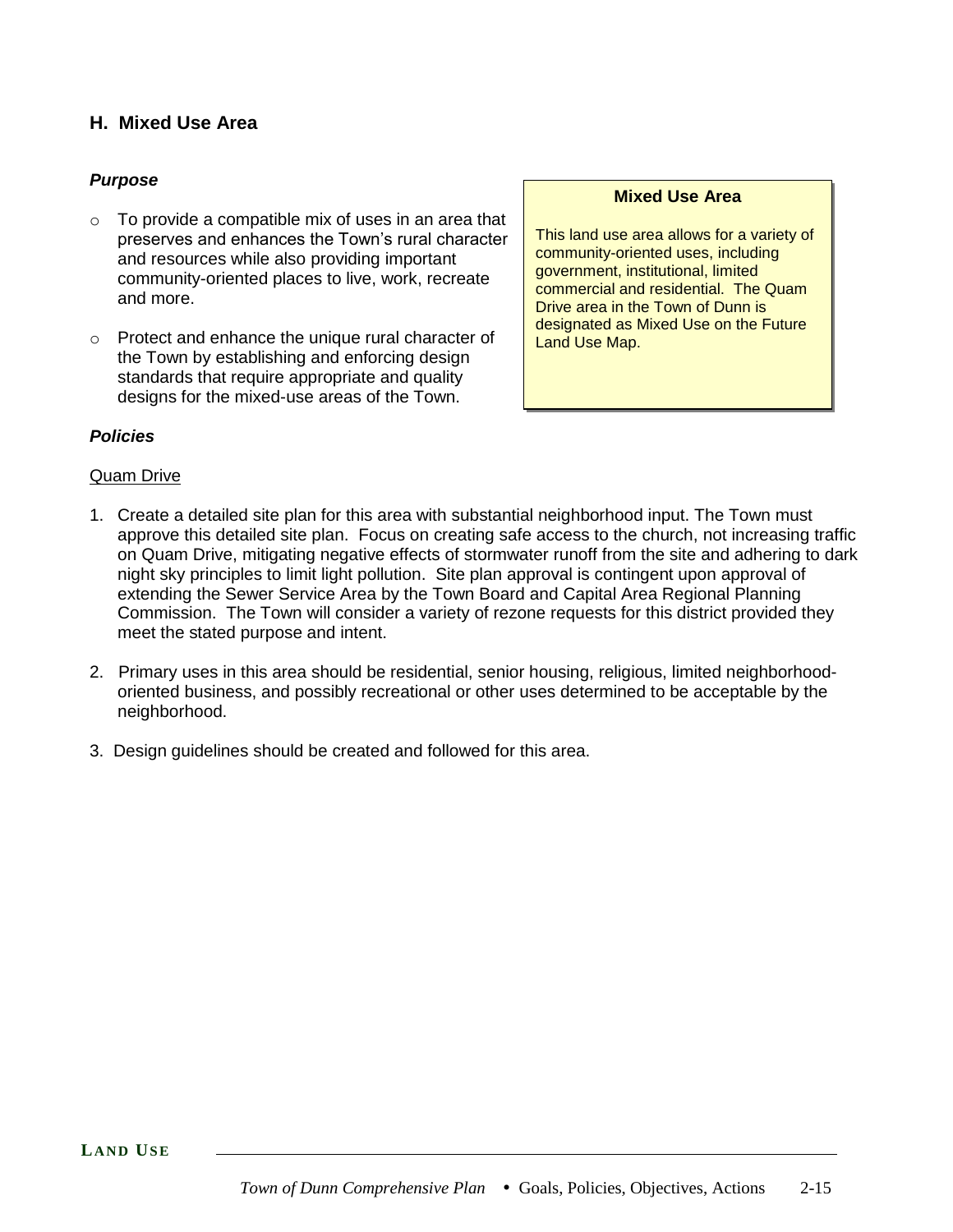## **H. Mixed Use Area**

### *Purpose*

- $\circ$  To provide a compatible mix of uses in an area that preserves and enhances the Town's rural character and resources while also providing important community-oriented places to live, work, recreate and more.
- o Protect and enhance the unique rural character of the Town by establishing and enforcing design standards that require appropriate and quality designs for the mixed-use areas of the Town.

#### **Mixed Use Area**

This land use area allows for a variety of community-oriented uses, including government, institutional, limited commercial and residential. The Quam Drive area in the Town of Dunn is designated as Mixed Use on the Future Land Use Map.

#### *Policies*

#### Quam Drive

- 1. Create a detailed site plan for this area with substantial neighborhood input. The Town must approve this detailed site plan. Focus on creating safe access to the church, not increasing traffic on Quam Drive, mitigating negative effects of stormwater runoff from the site and adhering to dark night sky principles to limit light pollution. Site plan approval is contingent upon approval of extending the Sewer Service Area by the Town Board and Capital Area Regional Planning Commission. The Town will consider a variety of rezone requests for this district provided they meet the stated purpose and intent.
- 2. Primary uses in this area should be residential, senior housing, religious, limited neighborhoodoriented business, and possibly recreational or other uses determined to be acceptable by the neighborhood.
- 3. Design guidelines should be created and followed for this area.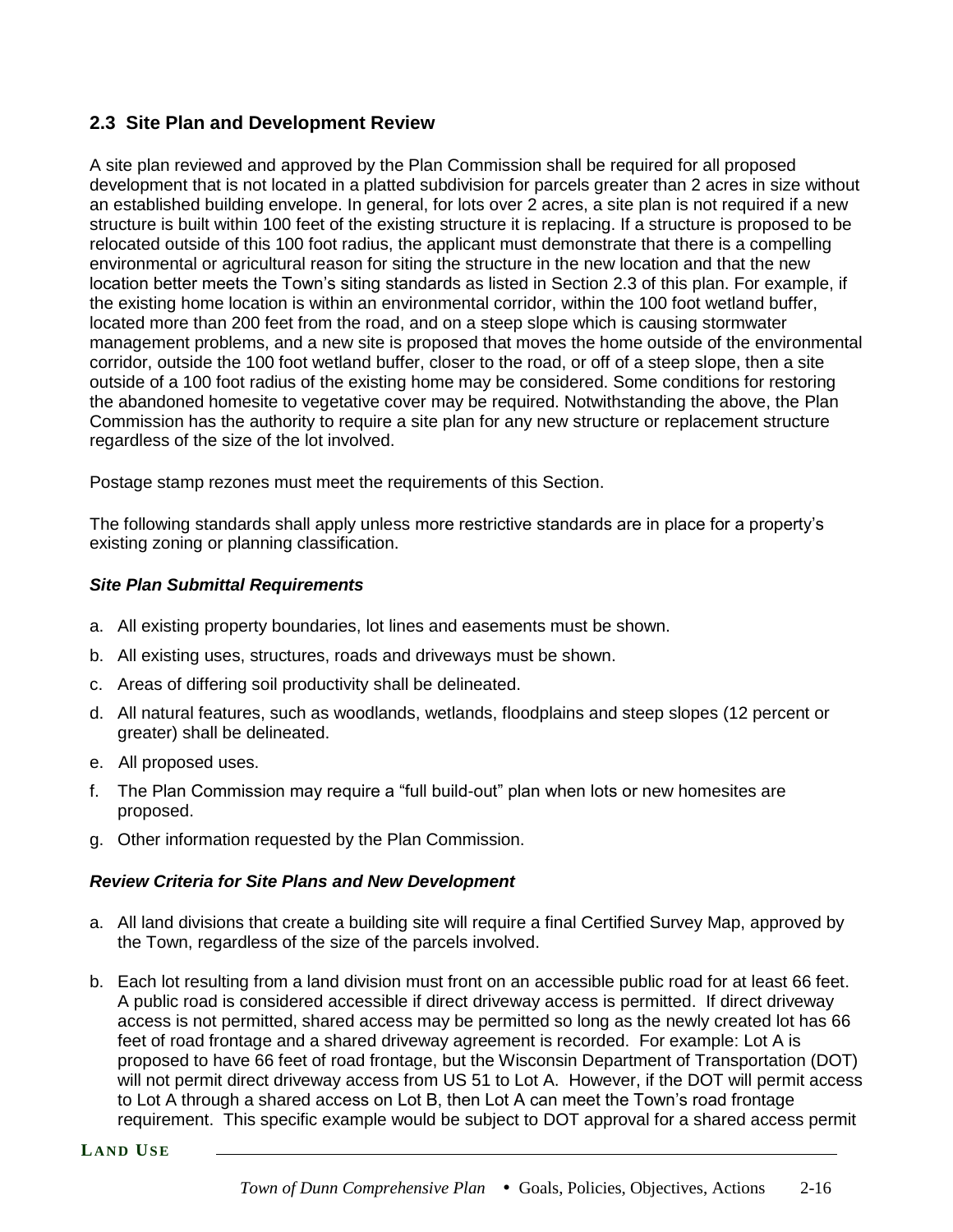# **2.3 Site Plan and Development Review**

A site plan reviewed and approved by the Plan Commission shall be required for all proposed development that is not located in a platted subdivision for parcels greater than 2 acres in size without an established building envelope. In general, for lots over 2 acres, a site plan is not required if a new structure is built within 100 feet of the existing structure it is replacing. If a structure is proposed to be relocated outside of this 100 foot radius, the applicant must demonstrate that there is a compelling environmental or agricultural reason for siting the structure in the new location and that the new location better meets the Town's siting standards as listed in Section 2.3 of this plan. For example, if the existing home location is within an environmental corridor, within the 100 foot wetland buffer, located more than 200 feet from the road, and on a steep slope which is causing stormwater management problems, and a new site is proposed that moves the home outside of the environmental corridor, outside the 100 foot wetland buffer, closer to the road, or off of a steep slope, then a site outside of a 100 foot radius of the existing home may be considered. Some conditions for restoring the abandoned homesite to vegetative cover may be required. Notwithstanding the above, the Plan Commission has the authority to require a site plan for any new structure or replacement structure regardless of the size of the lot involved.

Postage stamp rezones must meet the requirements of this Section.

The following standards shall apply unless more restrictive standards are in place for a property's existing zoning or planning classification.

### *Site Plan Submittal Requirements*

- a. All existing property boundaries, lot lines and easements must be shown.
- b. All existing uses, structures, roads and driveways must be shown.
- c. Areas of differing soil productivity shall be delineated.
- d. All natural features, such as woodlands, wetlands, floodplains and steep slopes (12 percent or greater) shall be delineated.
- e. All proposed uses.
- f. The Plan Commission may require a "full build-out" plan when lots or new homesites are proposed.
- g. Other information requested by the Plan Commission.

# *Review Criteria for Site Plans and New Development*

- a. All land divisions that create a building site will require a final Certified Survey Map, approved by the Town, regardless of the size of the parcels involved.
- b. Each lot resulting from a land division must front on an accessible public road for at least 66 feet. A public road is considered accessible if direct driveway access is permitted. If direct driveway access is not permitted, shared access may be permitted so long as the newly created lot has 66 feet of road frontage and a shared driveway agreement is recorded. For example: Lot A is proposed to have 66 feet of road frontage, but the Wisconsin Department of Transportation (DOT) will not permit direct driveway access from US 51 to Lot A. However, if the DOT will permit access to Lot A through a shared access on Lot B, then Lot A can meet the Town's road frontage requirement. This specific example would be subject to DOT approval for a shared access permit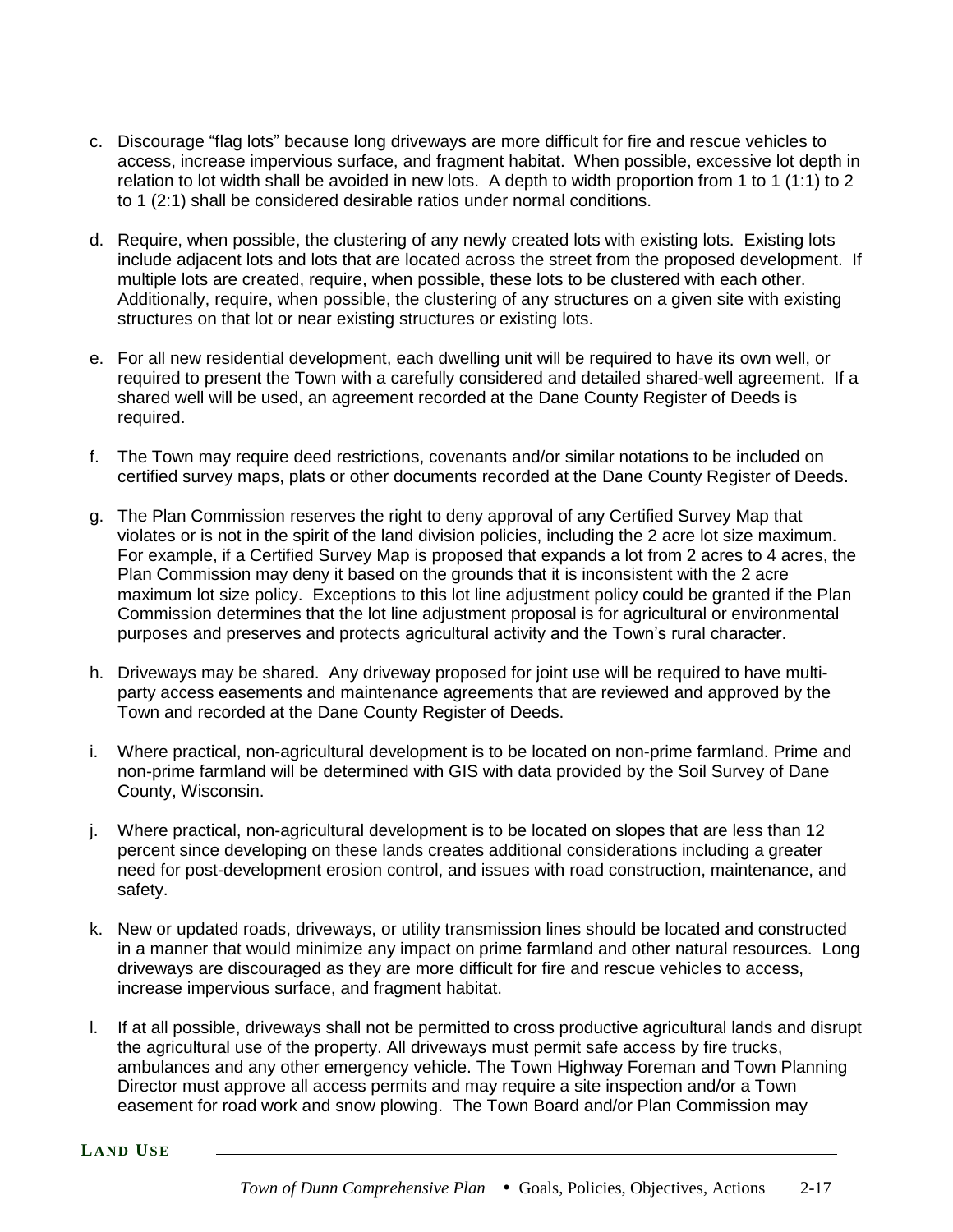- c. Discourage "flag lots" because long driveways are more difficult for fire and rescue vehicles to access, increase impervious surface, and fragment habitat. When possible, excessive lot depth in relation to lot width shall be avoided in new lots. A depth to width proportion from 1 to 1 (1:1) to 2 to 1 (2:1) shall be considered desirable ratios under normal conditions.
- d. Require, when possible, the clustering of any newly created lots with existing lots. Existing lots include adjacent lots and lots that are located across the street from the proposed development. If multiple lots are created, require, when possible, these lots to be clustered with each other. Additionally, require, when possible, the clustering of any structures on a given site with existing structures on that lot or near existing structures or existing lots.
- e. For all new residential development, each dwelling unit will be required to have its own well, or required to present the Town with a carefully considered and detailed shared-well agreement. If a shared well will be used, an agreement recorded at the Dane County Register of Deeds is required.
- f. The Town may require deed restrictions, covenants and/or similar notations to be included on certified survey maps, plats or other documents recorded at the Dane County Register of Deeds.
- g. The Plan Commission reserves the right to deny approval of any Certified Survey Map that violates or is not in the spirit of the land division policies, including the 2 acre lot size maximum. For example, if a Certified Survey Map is proposed that expands a lot from 2 acres to 4 acres, the Plan Commission may deny it based on the grounds that it is inconsistent with the 2 acre maximum lot size policy. Exceptions to this lot line adjustment policy could be granted if the Plan Commission determines that the lot line adjustment proposal is for agricultural or environmental purposes and preserves and protects agricultural activity and the Town's rural character.
- h. Driveways may be shared. Any driveway proposed for joint use will be required to have multiparty access easements and maintenance agreements that are reviewed and approved by the Town and recorded at the Dane County Register of Deeds.
- i. Where practical, non-agricultural development is to be located on non-prime farmland. Prime and non-prime farmland will be determined with GIS with data provided by the Soil Survey of Dane County, Wisconsin.
- j. Where practical, non-agricultural development is to be located on slopes that are less than 12 percent since developing on these lands creates additional considerations including a greater need for post-development erosion control, and issues with road construction, maintenance, and safety.
- k. New or updated roads, driveways, or utility transmission lines should be located and constructed in a manner that would minimize any impact on prime farmland and other natural resources. Long driveways are discouraged as they are more difficult for fire and rescue vehicles to access, increase impervious surface, and fragment habitat.
- l. If at all possible, driveways shall not be permitted to cross productive agricultural lands and disrupt the agricultural use of the property. All driveways must permit safe access by fire trucks, ambulances and any other emergency vehicle. The Town Highway Foreman and Town Planning Director must approve all access permits and may require a site inspection and/or a Town easement for road work and snow plowing. The Town Board and/or Plan Commission may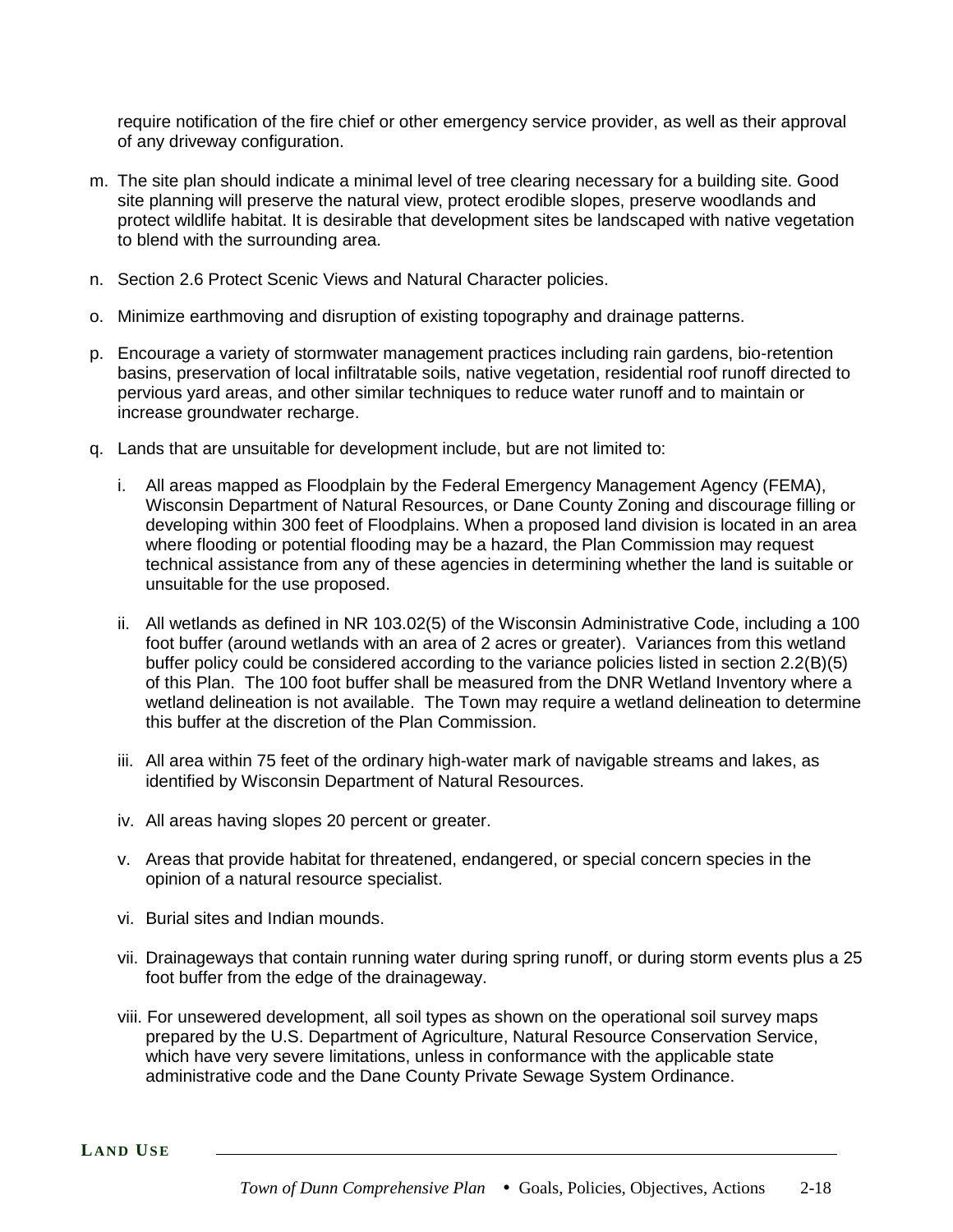require notification of the fire chief or other emergency service provider, as well as their approval of any driveway configuration.

- m. The site plan should indicate a minimal level of tree clearing necessary for a building site. Good site planning will preserve the natural view, protect erodible slopes, preserve woodlands and protect wildlife habitat. It is desirable that development sites be landscaped with native vegetation to blend with the surrounding area.
- n. Section 2.6 Protect Scenic Views and Natural Character policies.
- o. Minimize earthmoving and disruption of existing topography and drainage patterns.
- p. Encourage a variety of stormwater management practices including rain gardens, bio-retention basins, preservation of local infiltratable soils, native vegetation, residential roof runoff directed to pervious yard areas, and other similar techniques to reduce water runoff and to maintain or increase groundwater recharge.
- q. Lands that are unsuitable for development include, but are not limited to:
	- i. All areas mapped as Floodplain by the Federal Emergency Management Agency (FEMA), Wisconsin Department of Natural Resources, or Dane County Zoning and discourage filling or developing within 300 feet of Floodplains. When a proposed land division is located in an area where flooding or potential flooding may be a hazard, the Plan Commission may request technical assistance from any of these agencies in determining whether the land is suitable or unsuitable for the use proposed.
	- ii. All wetlands as defined in NR 103.02(5) of the Wisconsin Administrative Code, including a 100 foot buffer (around wetlands with an area of 2 acres or greater). Variances from this wetland buffer policy could be considered according to the variance policies listed in section 2.2(B)(5) of this Plan. The 100 foot buffer shall be measured from the DNR Wetland Inventory where a wetland delineation is not available. The Town may require a wetland delineation to determine this buffer at the discretion of the Plan Commission.
	- iii. All area within 75 feet of the ordinary high-water mark of navigable streams and lakes, as identified by Wisconsin Department of Natural Resources.
	- iv. All areas having slopes 20 percent or greater.
	- v. Areas that provide habitat for threatened, endangered, or special concern species in the opinion of a natural resource specialist.
	- vi. Burial sites and Indian mounds.
	- vii. Drainageways that contain running water during spring runoff, or during storm events plus a 25 foot buffer from the edge of the drainageway.
	- viii. For unsewered development, all soil types as shown on the operational soil survey maps prepared by the U.S. Department of Agriculture, Natural Resource Conservation Service, which have very severe limitations, unless in conformance with the applicable state administrative code and the Dane County Private Sewage System Ordinance.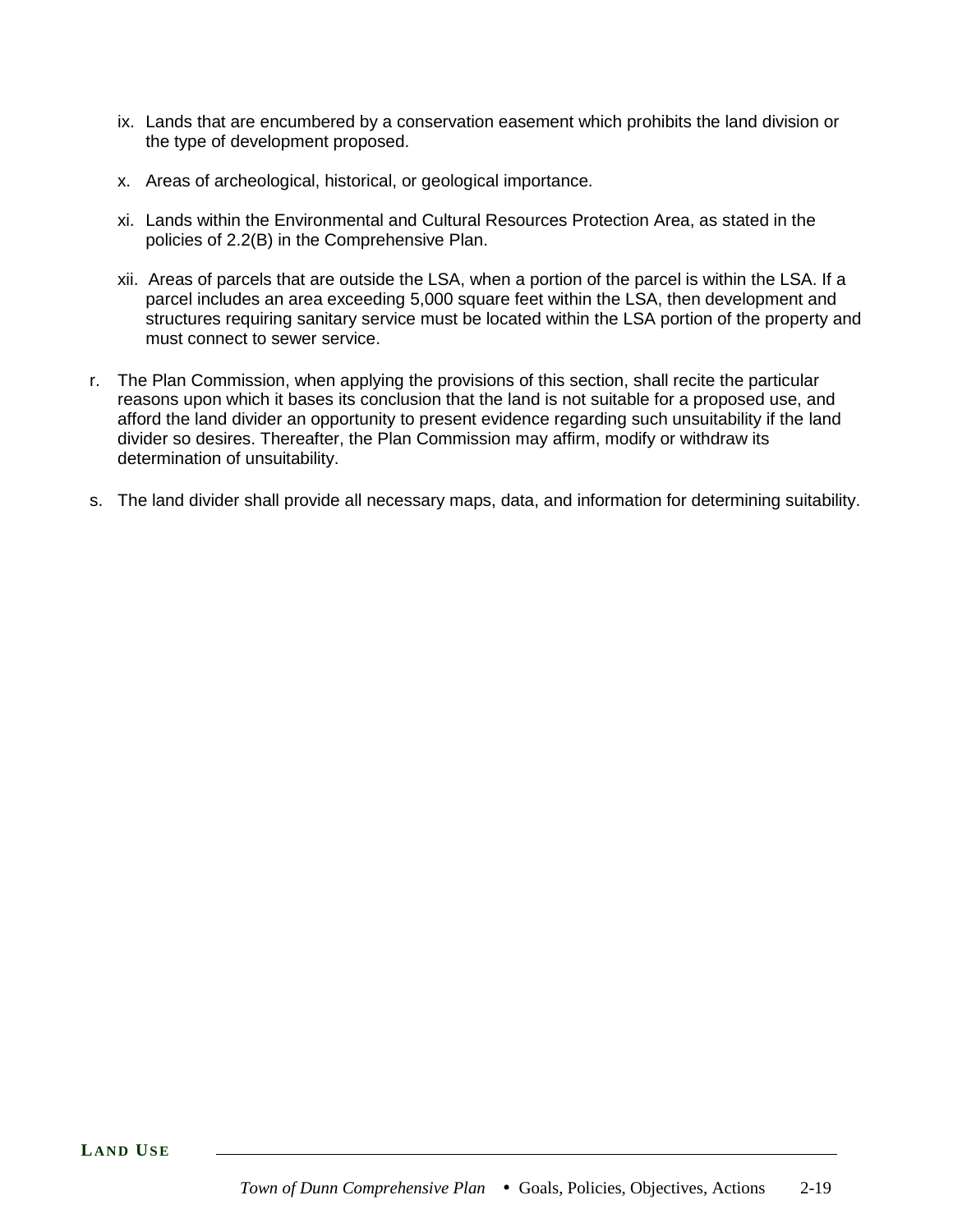- ix. Lands that are encumbered by a conservation easement which prohibits the land division or the type of development proposed.
- x. Areas of archeological, historical, or geological importance.
- xi. Lands within the Environmental and Cultural Resources Protection Area, as stated in the policies of 2.2(B) in the Comprehensive Plan.
- xii. Areas of parcels that are outside the LSA, when a portion of the parcel is within the LSA. If a parcel includes an area exceeding 5,000 square feet within the LSA, then development and structures requiring sanitary service must be located within the LSA portion of the property and must connect to sewer service.
- r. The Plan Commission, when applying the provisions of this section, shall recite the particular reasons upon which it bases its conclusion that the land is not suitable for a proposed use, and afford the land divider an opportunity to present evidence regarding such unsuitability if the land divider so desires. Thereafter, the Plan Commission may affirm, modify or withdraw its determination of unsuitability.
- s. The land divider shall provide all necessary maps, data, and information for determining suitability.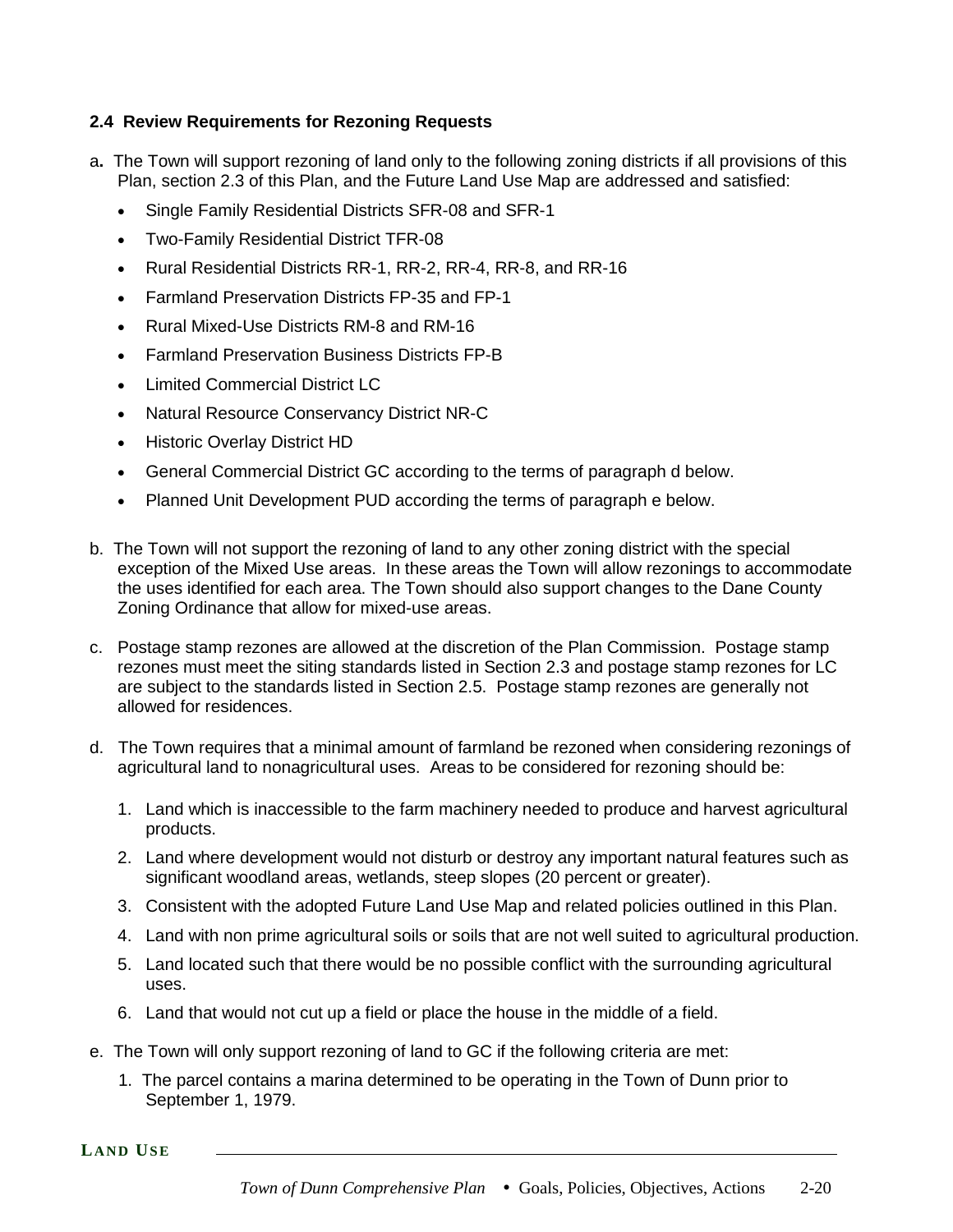### **2.4 Review Requirements for Rezoning Requests**

- a**.** The Town will support rezoning of land only to the following zoning districts if all provisions of this Plan, section 2.3 of this Plan, and the Future Land Use Map are addressed and satisfied:
	- Single Family Residential Districts SFR-08 and SFR-1
	- Two-Family Residential District TFR-08
	- Rural Residential Districts RR-1, RR-2, RR-4, RR-8, and RR-16
	- Farmland Preservation Districts FP-35 and FP-1
	- Rural Mixed-Use Districts RM-8 and RM-16
	- Farmland Preservation Business Districts FP-B
	- Limited Commercial District LC
	- Natural Resource Conservancy District NR-C
	- Historic Overlay District HD
	- General Commercial District GC according to the terms of paragraph d below.
	- Planned Unit Development PUD according the terms of paragraph e below.
- b. The Town will not support the rezoning of land to any other zoning district with the special exception of the Mixed Use areas. In these areas the Town will allow rezonings to accommodate the uses identified for each area. The Town should also support changes to the Dane County Zoning Ordinance that allow for mixed-use areas.
- c. Postage stamp rezones are allowed at the discretion of the Plan Commission. Postage stamp rezones must meet the siting standards listed in Section 2.3 and postage stamp rezones for LC are subject to the standards listed in Section 2.5. Postage stamp rezones are generally not allowed for residences.
- d. The Town requires that a minimal amount of farmland be rezoned when considering rezonings of agricultural land to nonagricultural uses. Areas to be considered for rezoning should be:
	- 1. Land which is inaccessible to the farm machinery needed to produce and harvest agricultural products.
	- 2. Land where development would not disturb or destroy any important natural features such as significant woodland areas, wetlands, steep slopes (20 percent or greater).
	- 3. Consistent with the adopted Future Land Use Map and related policies outlined in this Plan.
	- 4. Land with non prime agricultural soils or soils that are not well suited to agricultural production.
	- 5. Land located such that there would be no possible conflict with the surrounding agricultural uses.
	- 6. Land that would not cut up a field or place the house in the middle of a field.
- e. The Town will only support rezoning of land to GC if the following criteria are met:
	- 1. The parcel contains a marina determined to be operating in the Town of Dunn prior to September 1, 1979.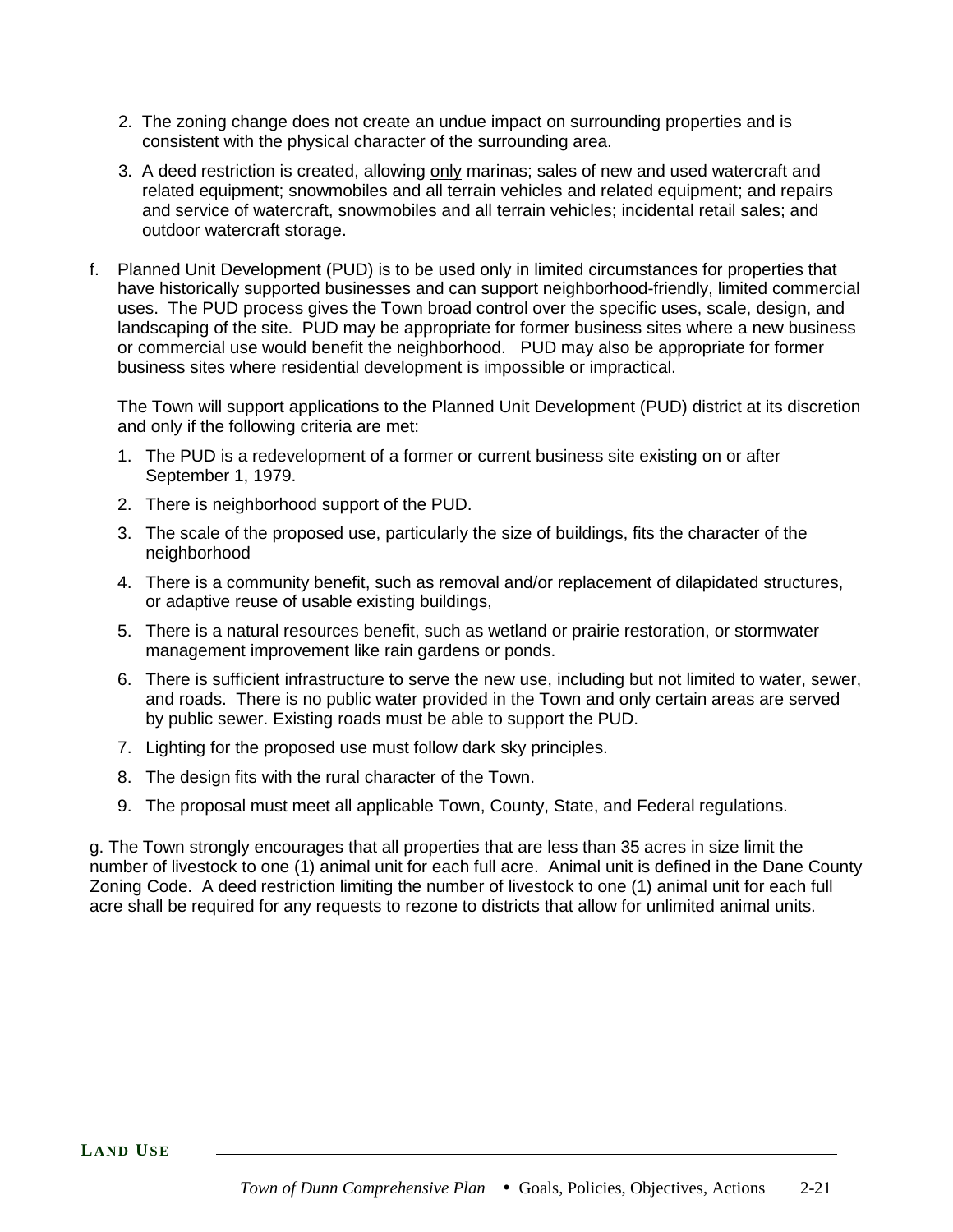- 2. The zoning change does not create an undue impact on surrounding properties and is consistent with the physical character of the surrounding area.
- 3. A deed restriction is created, allowing only marinas; sales of new and used watercraft and related equipment; snowmobiles and all terrain vehicles and related equipment; and repairs and service of watercraft, snowmobiles and all terrain vehicles; incidental retail sales; and outdoor watercraft storage.
- f. Planned Unit Development (PUD) is to be used only in limited circumstances for properties that have historically supported businesses and can support neighborhood-friendly, limited commercial uses. The PUD process gives the Town broad control over the specific uses, scale, design, and landscaping of the site. PUD may be appropriate for former business sites where a new business or commercial use would benefit the neighborhood. PUD may also be appropriate for former business sites where residential development is impossible or impractical.

The Town will support applications to the Planned Unit Development (PUD) district at its discretion and only if the following criteria are met:

- 1. The PUD is a redevelopment of a former or current business site existing on or after September 1, 1979.
- 2. There is neighborhood support of the PUD.
- 3. The scale of the proposed use, particularly the size of buildings, fits the character of the neighborhood
- 4. There is a community benefit, such as removal and/or replacement of dilapidated structures, or adaptive reuse of usable existing buildings,
- 5. There is a natural resources benefit, such as wetland or prairie restoration, or stormwater management improvement like rain gardens or ponds.
- 6. There is sufficient infrastructure to serve the new use, including but not limited to water, sewer, and roads. There is no public water provided in the Town and only certain areas are served by public sewer. Existing roads must be able to support the PUD.
- 7. Lighting for the proposed use must follow dark sky principles.
- 8. The design fits with the rural character of the Town.
- 9. The proposal must meet all applicable Town, County, State, and Federal regulations.

g. The Town strongly encourages that all properties that are less than 35 acres in size limit the number of livestock to one (1) animal unit for each full acre. Animal unit is defined in the Dane County Zoning Code.A deed restriction limiting the number of livestock to one (1) animal unit for each full acre shall be required for any requests to rezone to districts that allow for unlimited animal units.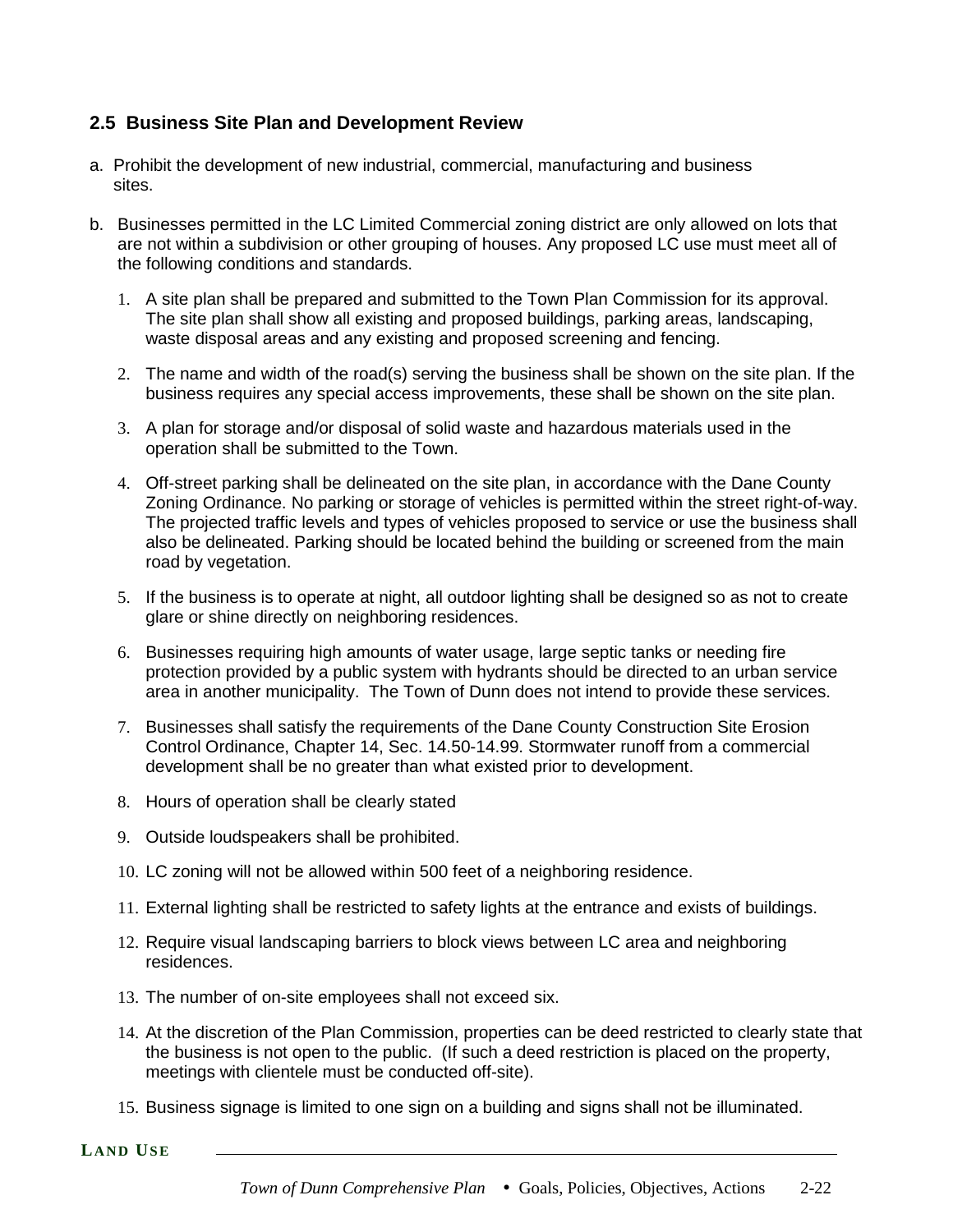# **2.5 Business Site Plan and Development Review**

- a. Prohibit the development of new industrial, commercial, manufacturing and business sites.
- b. Businesses permitted in the LC Limited Commercial zoning district are only allowed on lots that are not within a subdivision or other grouping of houses. Any proposed LC use must meet all of the following conditions and standards.
	- 1. A site plan shall be prepared and submitted to the Town Plan Commission for its approval. The site plan shall show all existing and proposed buildings, parking areas, landscaping, waste disposal areas and any existing and proposed screening and fencing.
	- 2. The name and width of the road(s) serving the business shall be shown on the site plan. If the business requires any special access improvements, these shall be shown on the site plan.
	- 3. A plan for storage and/or disposal of solid waste and hazardous materials used in the operation shall be submitted to the Town.
	- 4. Off-street parking shall be delineated on the site plan, in accordance with the Dane County Zoning Ordinance. No parking or storage of vehicles is permitted within the street right-of-way. The projected traffic levels and types of vehicles proposed to service or use the business shall also be delineated. Parking should be located behind the building or screened from the main road by vegetation.
	- 5. If the business is to operate at night, all outdoor lighting shall be designed so as not to create glare or shine directly on neighboring residences.
	- 6. Businesses requiring high amounts of water usage, large septic tanks or needing fire protection provided by a public system with hydrants should be directed to an urban service area in another municipality. The Town of Dunn does not intend to provide these services.
	- 7. Businesses shall satisfy the requirements of the Dane County Construction Site Erosion Control Ordinance, Chapter 14, Sec. 14.50-14.99. Stormwater runoff from a commercial development shall be no greater than what existed prior to development.
	- 8. Hours of operation shall be clearly stated
	- 9. Outside loudspeakers shall be prohibited.
	- 10. LC zoning will not be allowed within 500 feet of a neighboring residence.
	- 11. External lighting shall be restricted to safety lights at the entrance and exists of buildings.
	- 12. Require visual landscaping barriers to block views between LC area and neighboring residences.
	- 13. The number of on-site employees shall not exceed six.
	- 14. At the discretion of the Plan Commission, properties can be deed restricted to clearly state that the business is not open to the public. (If such a deed restriction is placed on the property, meetings with clientele must be conducted off-site).
	- 15. Business signage is limited to one sign on a building and signs shall not be illuminated.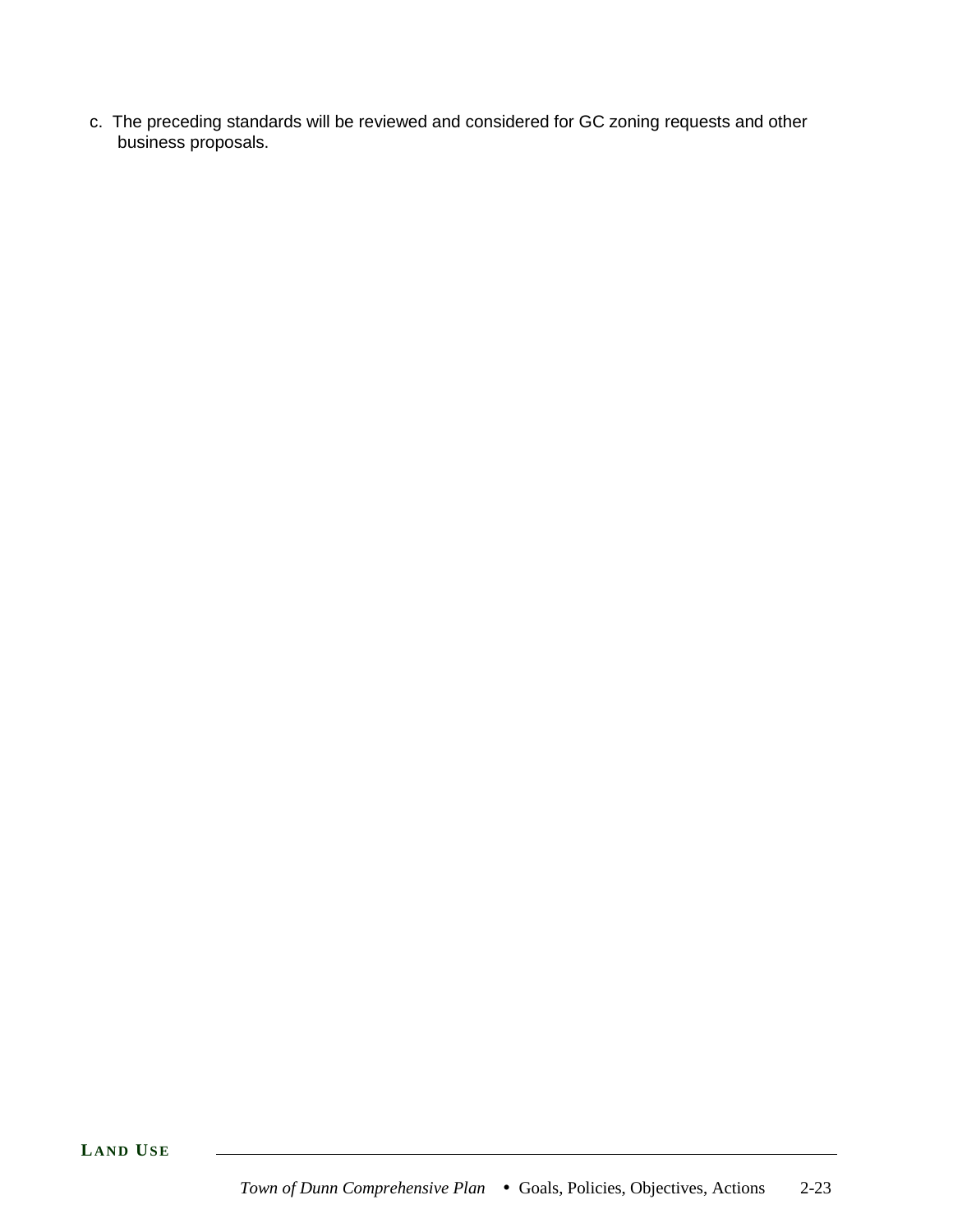c. The preceding standards will be reviewed and considered for GC zoning requests and other business proposals.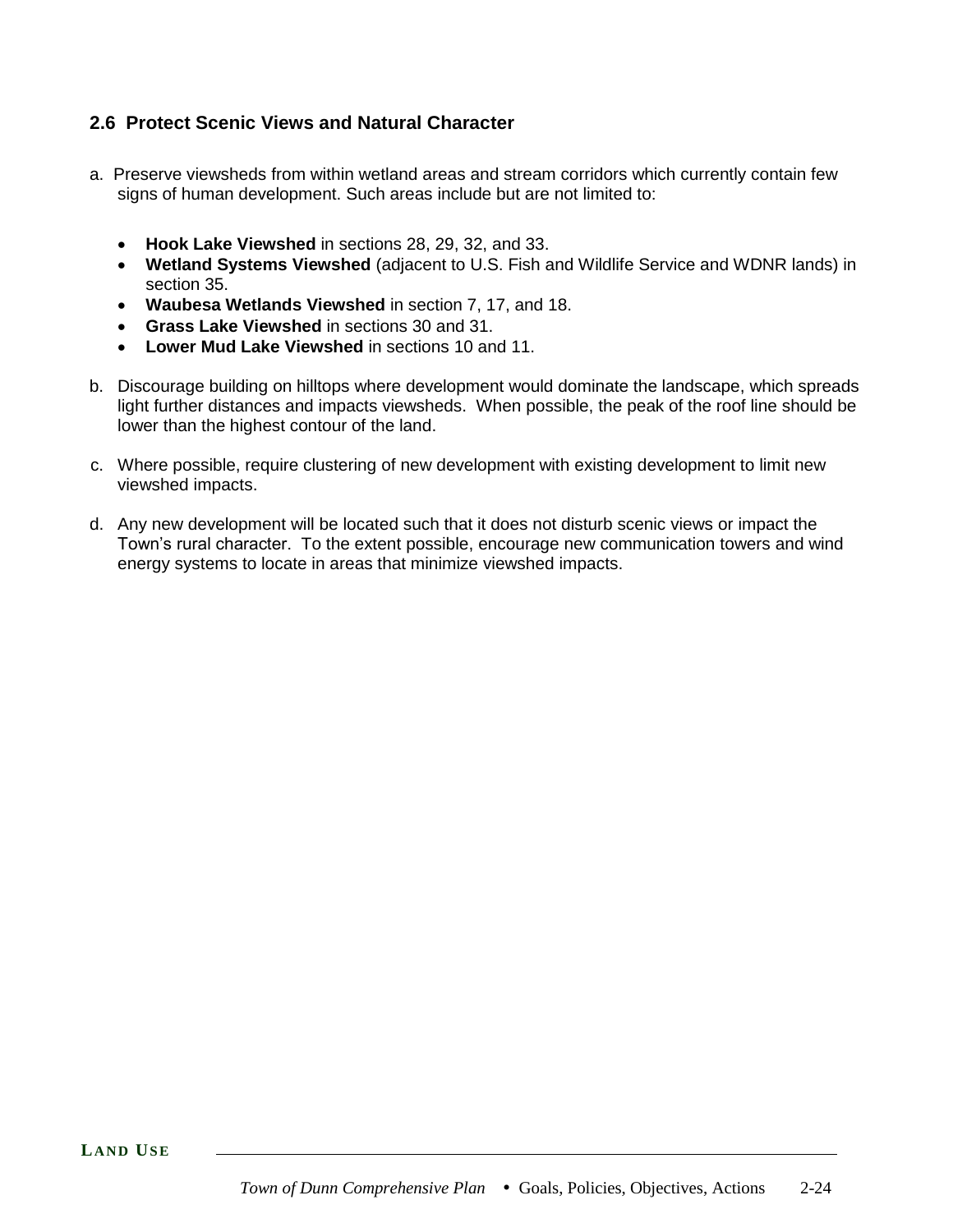# **2.6 Protect Scenic Views and Natural Character**

- a. Preserve viewsheds from within wetland areas and stream corridors which currently contain few signs of human development. Such areas include but are not limited to:
	- **Hook Lake Viewshed** in sections 28, 29, 32, and 33.
	- **Wetland Systems Viewshed** (adjacent to U.S. Fish and Wildlife Service and WDNR lands) in section 35.
	- **Waubesa Wetlands Viewshed** in section 7, 17, and 18.
	- **Grass Lake Viewshed** in sections 30 and 31.
	- **Lower Mud Lake Viewshed** in sections 10 and 11.
- b. Discourage building on hilltops where development would dominate the landscape, which spreads light further distances and impacts viewsheds. When possible, the peak of the roof line should be lower than the highest contour of the land.
- c. Where possible, require clustering of new development with existing development to limit new viewshed impacts.
- d. Any new development will be located such that it does not disturb scenic views or impact the Town's rural character. To the extent possible, encourage new communication towers and wind energy systems to locate in areas that minimize viewshed impacts.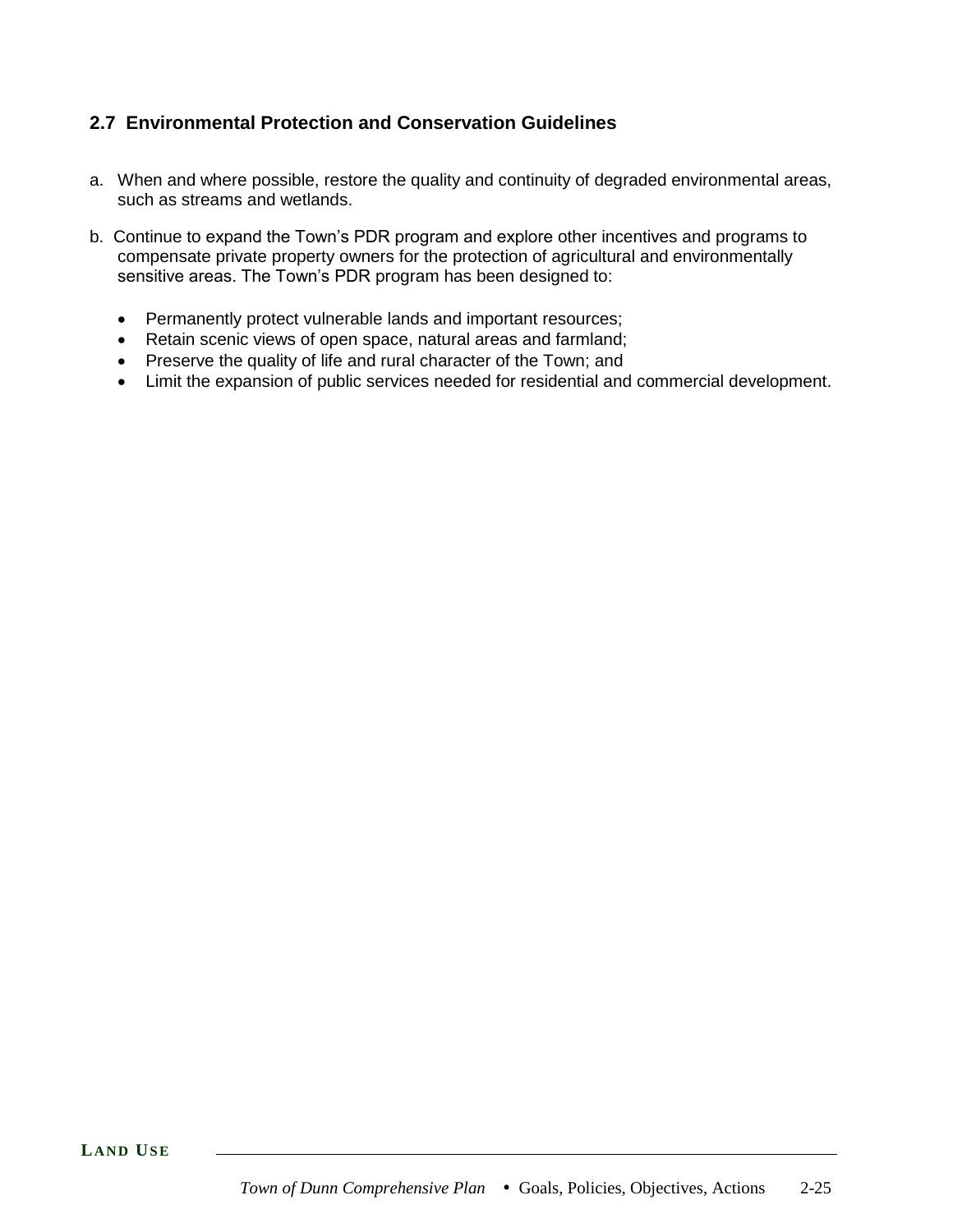# **2.7 Environmental Protection and Conservation Guidelines**

- a. When and where possible, restore the quality and continuity of degraded environmental areas, such as streams and wetlands.
- b. Continue to expand the Town's PDR program and explore other incentives and programs to compensate private property owners for the protection of agricultural and environmentally sensitive areas. The Town's PDR program has been designed to:
	- Permanently protect vulnerable lands and important resources;
	- Retain scenic views of open space, natural areas and farmland;
	- Preserve the quality of life and rural character of the Town; and
	- Limit the expansion of public services needed for residential and commercial development.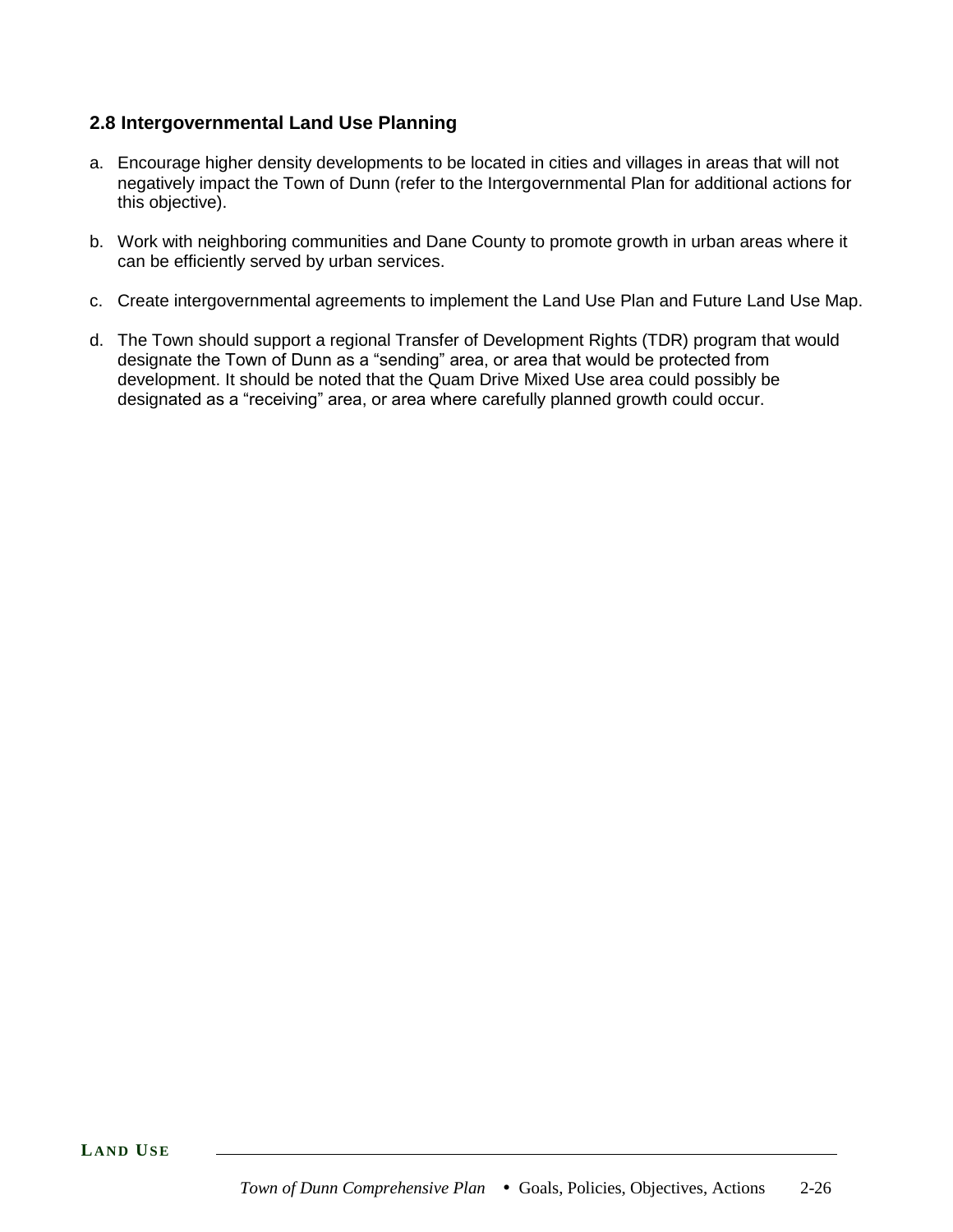# **2.8 Intergovernmental Land Use Planning**

- a. Encourage higher density developments to be located in cities and villages in areas that will not negatively impact the Town of Dunn (refer to the Intergovernmental Plan for additional actions for this objective).
- b. Work with neighboring communities and Dane County to promote growth in urban areas where it can be efficiently served by urban services.
- c. Create intergovernmental agreements to implement the Land Use Plan and Future Land Use Map.
- d. The Town should support a regional Transfer of Development Rights (TDR) program that would designate the Town of Dunn as a "sending" area, or area that would be protected from development. It should be noted that the Quam Drive Mixed Use area could possibly be designated as a "receiving" area, or area where carefully planned growth could occur.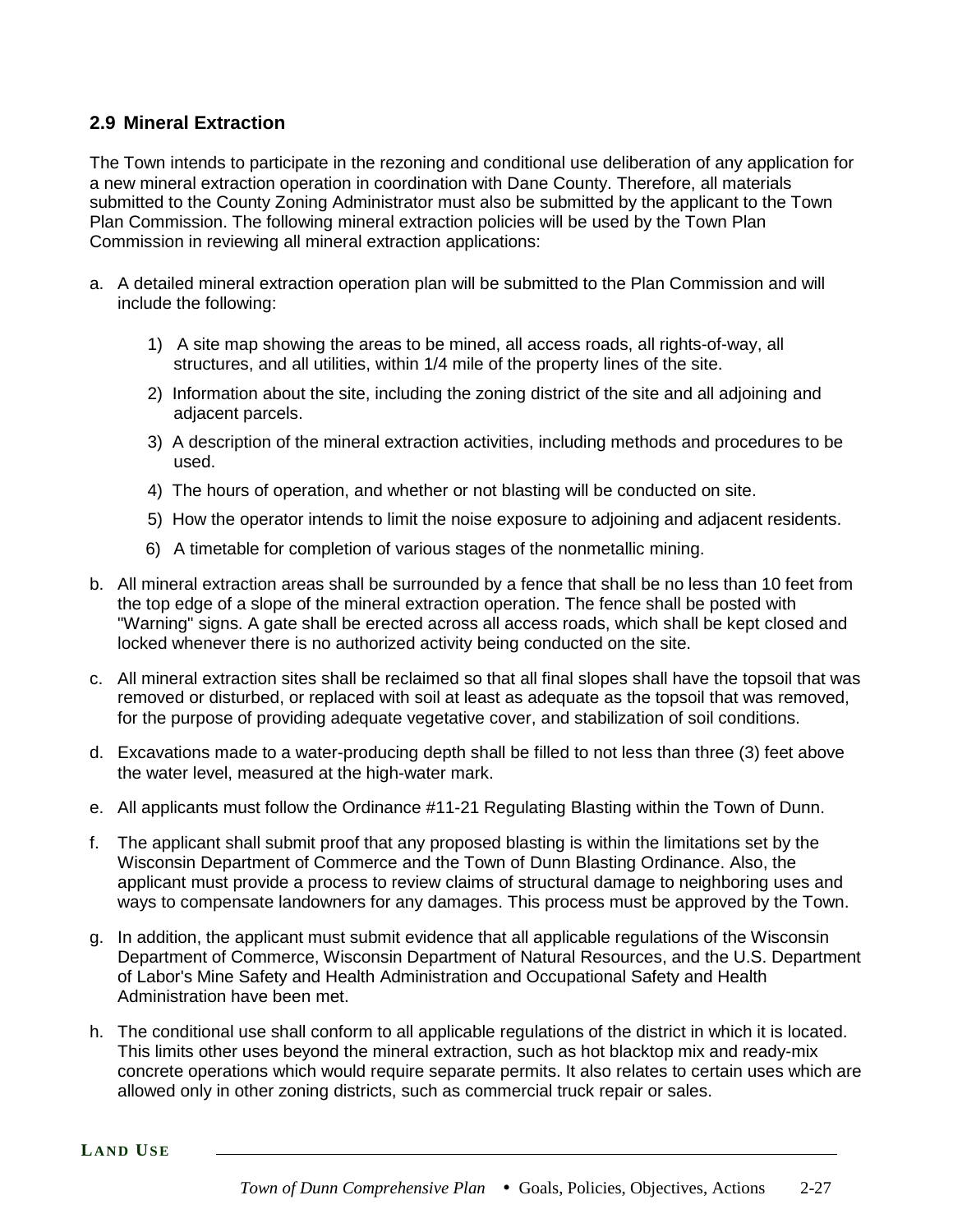# **2.9 Mineral Extraction**

The Town intends to participate in the rezoning and conditional use deliberation of any application for a new mineral extraction operation in coordination with Dane County. Therefore, all materials submitted to the County Zoning Administrator must also be submitted by the applicant to the Town Plan Commission. The following mineral extraction policies will be used by the Town Plan Commission in reviewing all mineral extraction applications:

- a. A detailed mineral extraction operation plan will be submitted to the Plan Commission and will include the following:
	- 1) A site map showing the areas to be mined, all access roads, all rights-of-way, all structures, and all utilities, within 1/4 mile of the property lines of the site.
	- 2) Information about the site, including the zoning district of the site and all adjoining and adjacent parcels.
	- 3) A description of the mineral extraction activities, including methods and procedures to be used.
	- 4) The hours of operation, and whether or not blasting will be conducted on site.
	- 5) How the operator intends to limit the noise exposure to adjoining and adjacent residents.
	- 6) A timetable for completion of various stages of the nonmetallic mining.
- b. All mineral extraction areas shall be surrounded by a fence that shall be no less than 10 feet from the top edge of a slope of the mineral extraction operation. The fence shall be posted with "Warning" signs. A gate shall be erected across all access roads, which shall be kept closed and locked whenever there is no authorized activity being conducted on the site.
- c. All mineral extraction sites shall be reclaimed so that all final slopes shall have the topsoil that was removed or disturbed, or replaced with soil at least as adequate as the topsoil that was removed, for the purpose of providing adequate vegetative cover, and stabilization of soil conditions.
- d. Excavations made to a water-producing depth shall be filled to not less than three (3) feet above the water level, measured at the high-water mark.
- e. All applicants must follow the Ordinance #11-21 Regulating Blasting within the Town of Dunn.
- f. The applicant shall submit proof that any proposed blasting is within the limitations set by the Wisconsin Department of Commerce and the Town of Dunn Blasting Ordinance. Also, the applicant must provide a process to review claims of structural damage to neighboring uses and ways to compensate landowners for any damages. This process must be approved by the Town.
- g. In addition, the applicant must submit evidence that all applicable regulations of the Wisconsin Department of Commerce, Wisconsin Department of Natural Resources, and the U.S. Department of Labor's Mine Safety and Health Administration and Occupational Safety and Health Administration have been met.
- h. The conditional use shall conform to all applicable regulations of the district in which it is located. This limits other uses beyond the mineral extraction, such as hot blacktop mix and ready-mix concrete operations which would require separate permits. It also relates to certain uses which are allowed only in other zoning districts, such as commercial truck repair or sales.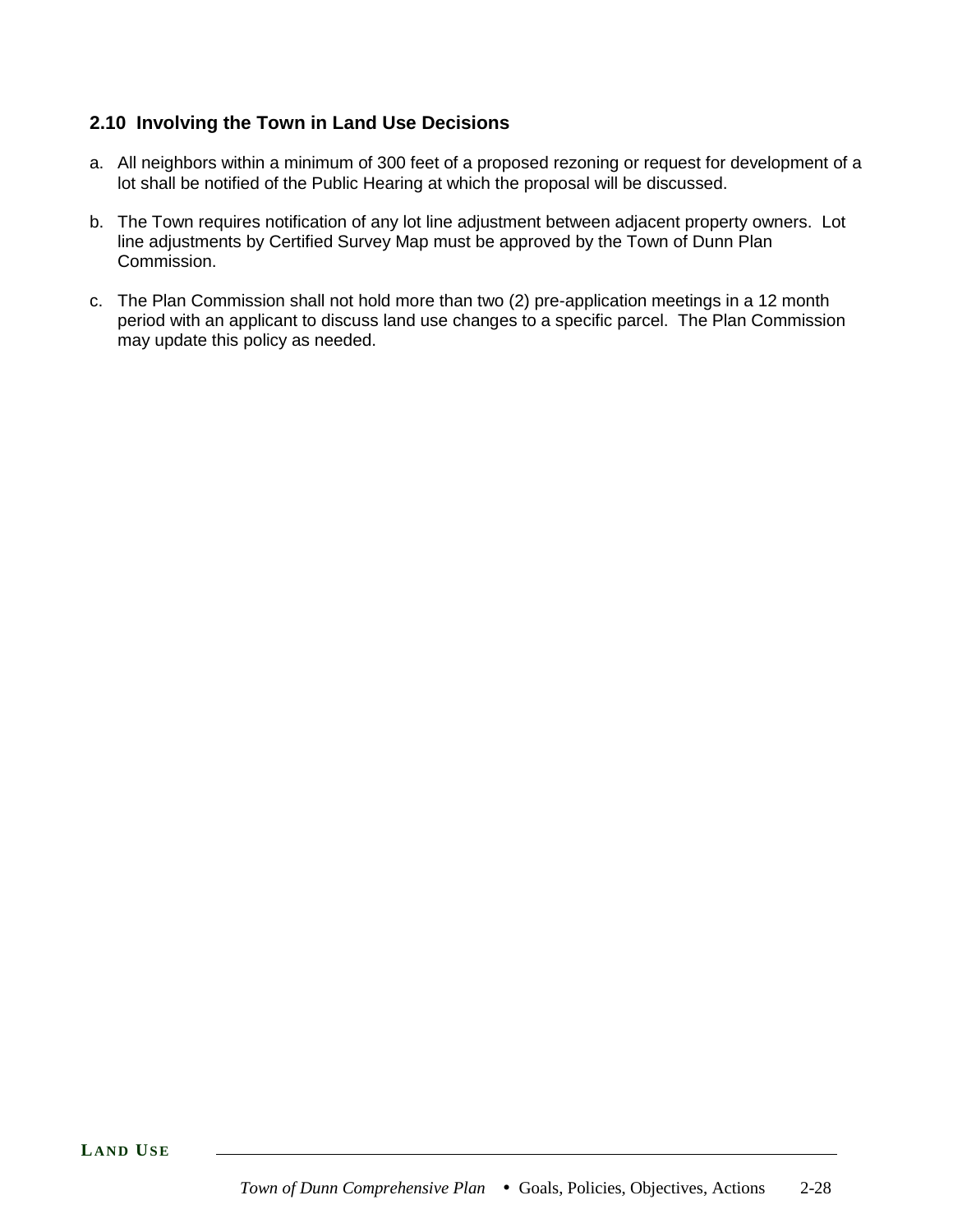# **2.10 Involving the Town in Land Use Decisions**

- a. All neighbors within a minimum of 300 feet of a proposed rezoning or request for development of a lot shall be notified of the Public Hearing at which the proposal will be discussed.
- b. The Town requires notification of any lot line adjustment between adjacent property owners. Lot line adjustments by Certified Survey Map must be approved by the Town of Dunn Plan Commission.
- c. The Plan Commission shall not hold more than two (2) pre-application meetings in a 12 month period with an applicant to discuss land use changes to a specific parcel. The Plan Commission may update this policy as needed.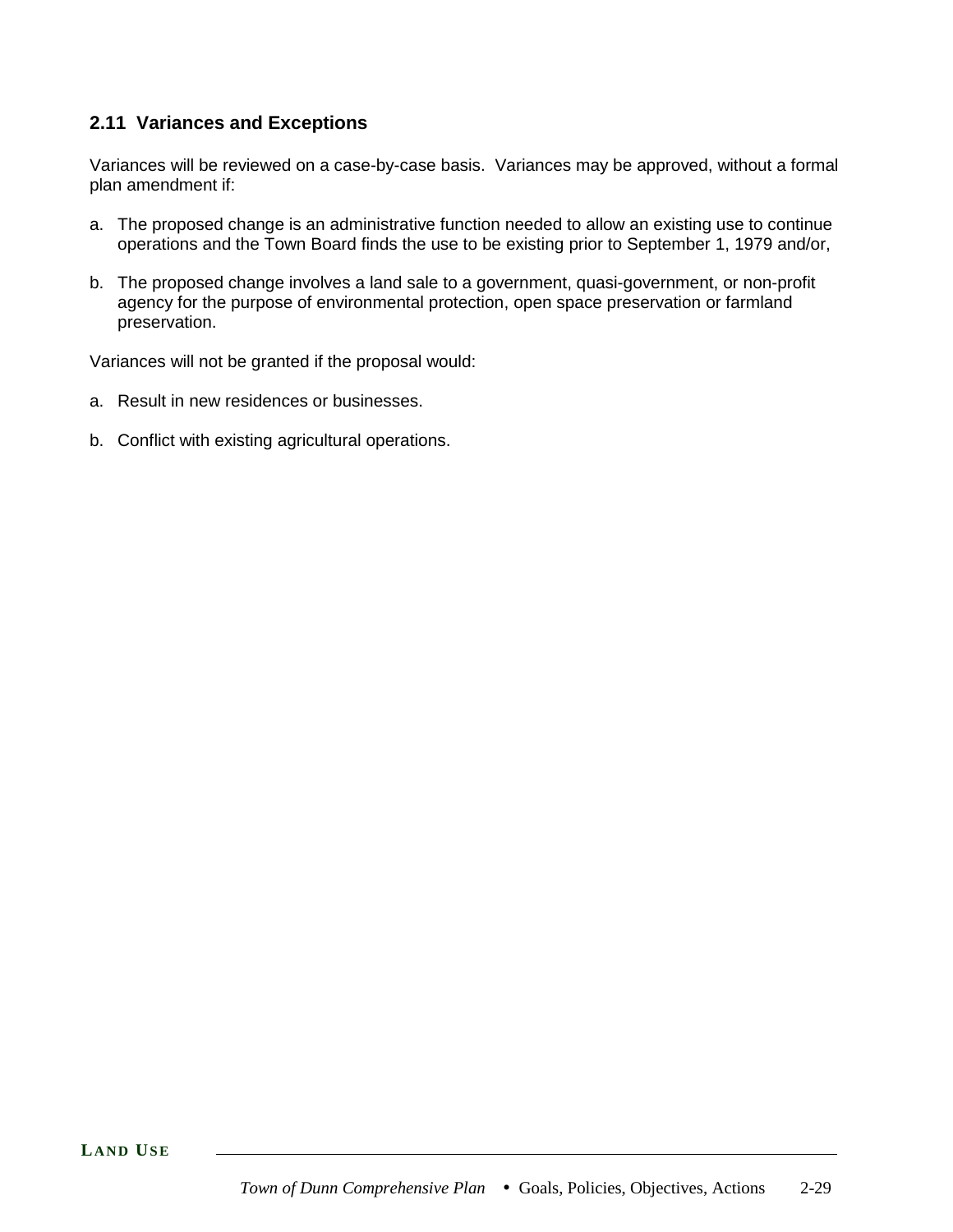# **2.11 Variances and Exceptions**

Variances will be reviewed on a case-by-case basis. Variances may be approved, without a formal plan amendment if:

- a. The proposed change is an administrative function needed to allow an existing use to continue operations and the Town Board finds the use to be existing prior to September 1, 1979 and/or,
- b. The proposed change involves a land sale to a government, quasi-government, or non-profit agency for the purpose of environmental protection, open space preservation or farmland preservation.

Variances will not be granted if the proposal would:

- a. Result in new residences or businesses.
- b. Conflict with existing agricultural operations.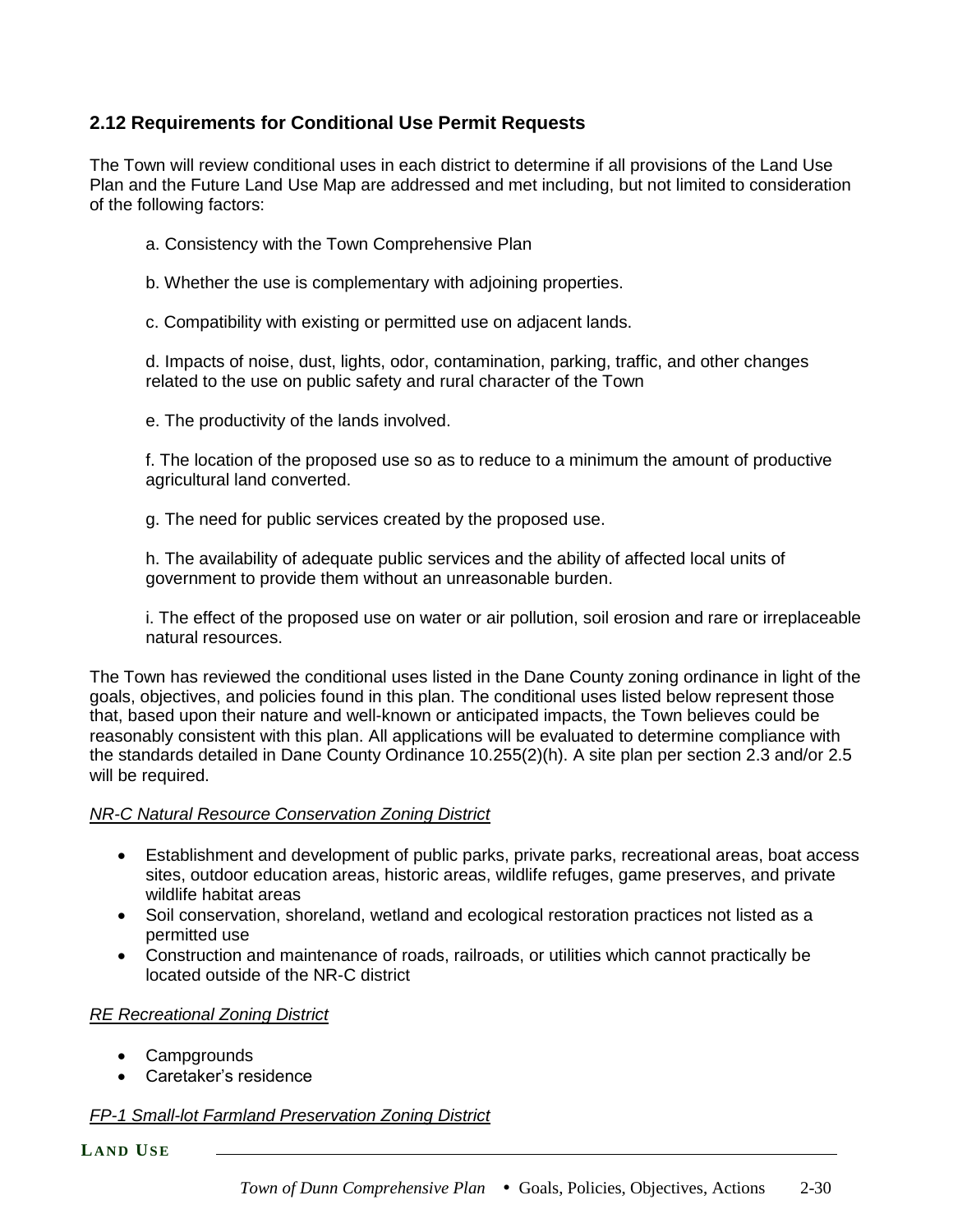# **2.12 Requirements for Conditional Use Permit Requests**

The Town will review conditional uses in each district to determine if all provisions of the Land Use Plan and the Future Land Use Map are addressed and met including, but not limited to consideration of the following factors:

- a. Consistency with the Town Comprehensive Plan
- b. Whether the use is complementary with adjoining properties.
- c. Compatibility with existing or permitted use on adjacent lands.

d. Impacts of noise, dust, lights, odor, contamination, parking, traffic, and other changes related to the use on public safety and rural character of the Town

e. The productivity of the lands involved.

f. The location of the proposed use so as to reduce to a minimum the amount of productive agricultural land converted.

g. The need for public services created by the proposed use.

h. The availability of adequate public services and the ability of affected local units of government to provide them without an unreasonable burden.

i. The effect of the proposed use on water or air pollution, soil erosion and rare or irreplaceable natural resources.

The Town has reviewed the conditional uses listed in the Dane County zoning ordinance in light of the goals, objectives, and policies found in this plan. The conditional uses listed below represent those that, based upon their nature and well-known or anticipated impacts, the Town believes could be reasonably consistent with this plan. All applications will be evaluated to determine compliance with the standards detailed in Dane County Ordinance 10.255(2)(h). A site plan per section 2.3 and/or 2.5 will be required.

### *NR-C Natural Resource Conservation Zoning District*

- Establishment and development of public parks, private parks, recreational areas, boat access sites, outdoor education areas, historic areas, wildlife refuges, game preserves, and private wildlife habitat areas
- Soil conservation, shoreland, wetland and ecological restoration practices not listed as a permitted use
- Construction and maintenance of roads, railroads, or utilities which cannot practically be located outside of the NR-C district

### *RE Recreational Zoning District*

- Campgrounds
- Caretaker's residence

### *FP-1 Small-lot Farmland Preservation Zoning District*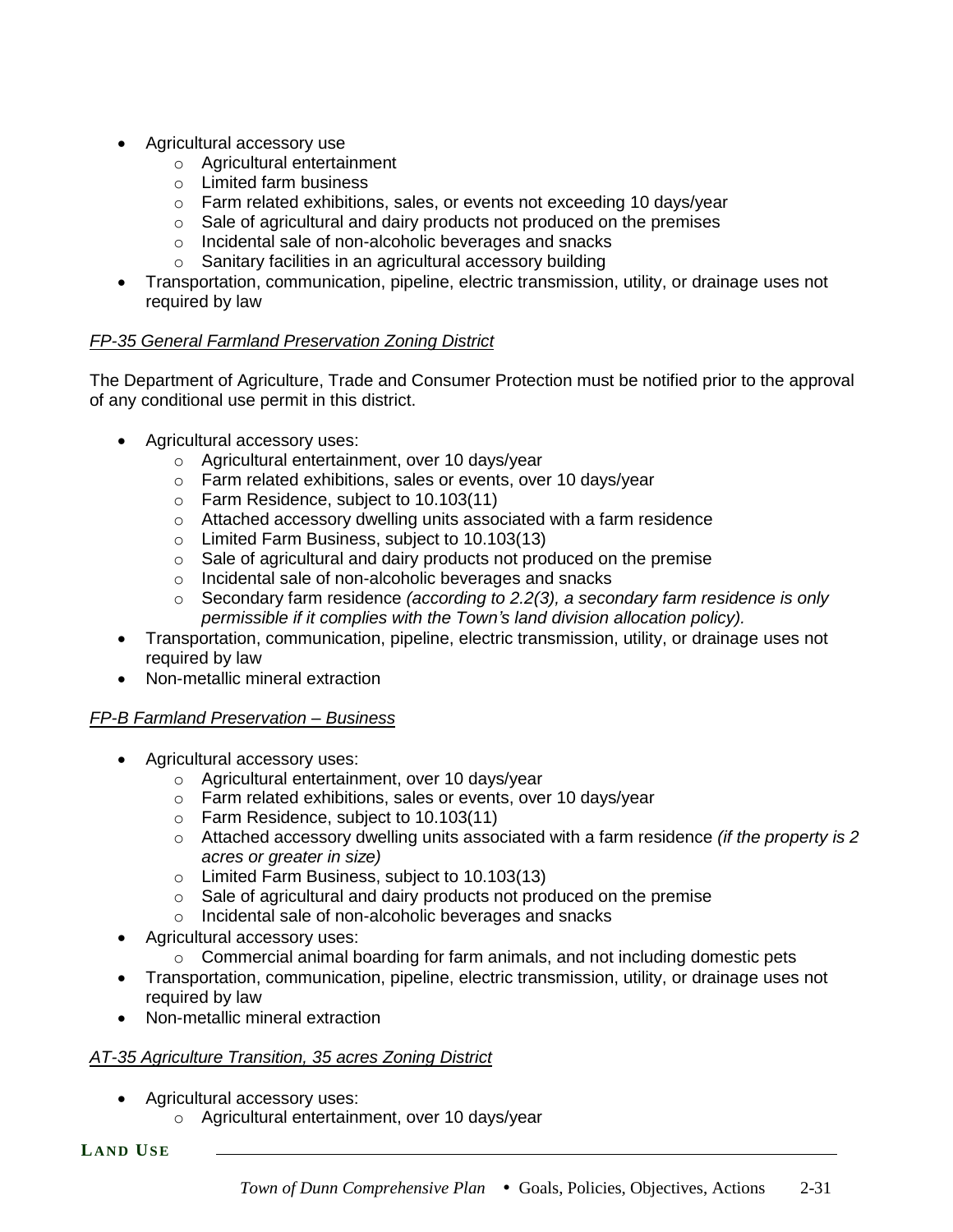- Agricultural accessory use
	- o Agricultural entertainment
	- o Limited farm business
	- $\circ$  Farm related exhibitions, sales, or events not exceeding 10 days/year
	- $\circ$  Sale of agricultural and dairy products not produced on the premises
	- o Incidental sale of non-alcoholic beverages and snacks
	- o Sanitary facilities in an agricultural accessory building
- Transportation, communication, pipeline, electric transmission, utility, or drainage uses not required by law

### *FP-35 General Farmland Preservation Zoning District*

The Department of Agriculture, Trade and Consumer Protection must be notified prior to the approval of any conditional use permit in this district.

- Agricultural accessory uses:
	- o Agricultural entertainment, over 10 days/year
	- o Farm related exhibitions, sales or events, over 10 days/year
	- o Farm Residence, subject to 10.103(11)
	- o Attached accessory dwelling units associated with a farm residence
	- o Limited Farm Business, subject to 10.103(13)
	- $\circ$  Sale of agricultural and dairy products not produced on the premise
	- o Incidental sale of non-alcoholic beverages and snacks
	- o Secondary farm residence *(according to 2.2(3), a secondary farm residence is only permissible if it complies with the Town's land division allocation policy).*
- Transportation, communication, pipeline, electric transmission, utility, or drainage uses not required by law
- Non-metallic mineral extraction

### *FP-B Farmland Preservation – Business*

- Agricultural accessory uses:
	- o Agricultural entertainment, over 10 days/year
	- o Farm related exhibitions, sales or events, over 10 days/year
	- o Farm Residence, subject to 10.103(11)
	- o Attached accessory dwelling units associated with a farm residence *(if the property is 2 acres or greater in size)*
	- o Limited Farm Business, subject to 10.103(13)
	- $\circ$  Sale of agricultural and dairy products not produced on the premise
	- o Incidental sale of non-alcoholic beverages and snacks
- Agricultural accessory uses:
	- $\circ$  Commercial animal boarding for farm animals, and not including domestic pets
- Transportation, communication, pipeline, electric transmission, utility, or drainage uses not required by law
- Non-metallic mineral extraction

# *AT-35 Agriculture Transition, 35 acres Zoning District*

- Agricultural accessory uses:
	- o Agricultural entertainment, over 10 days/year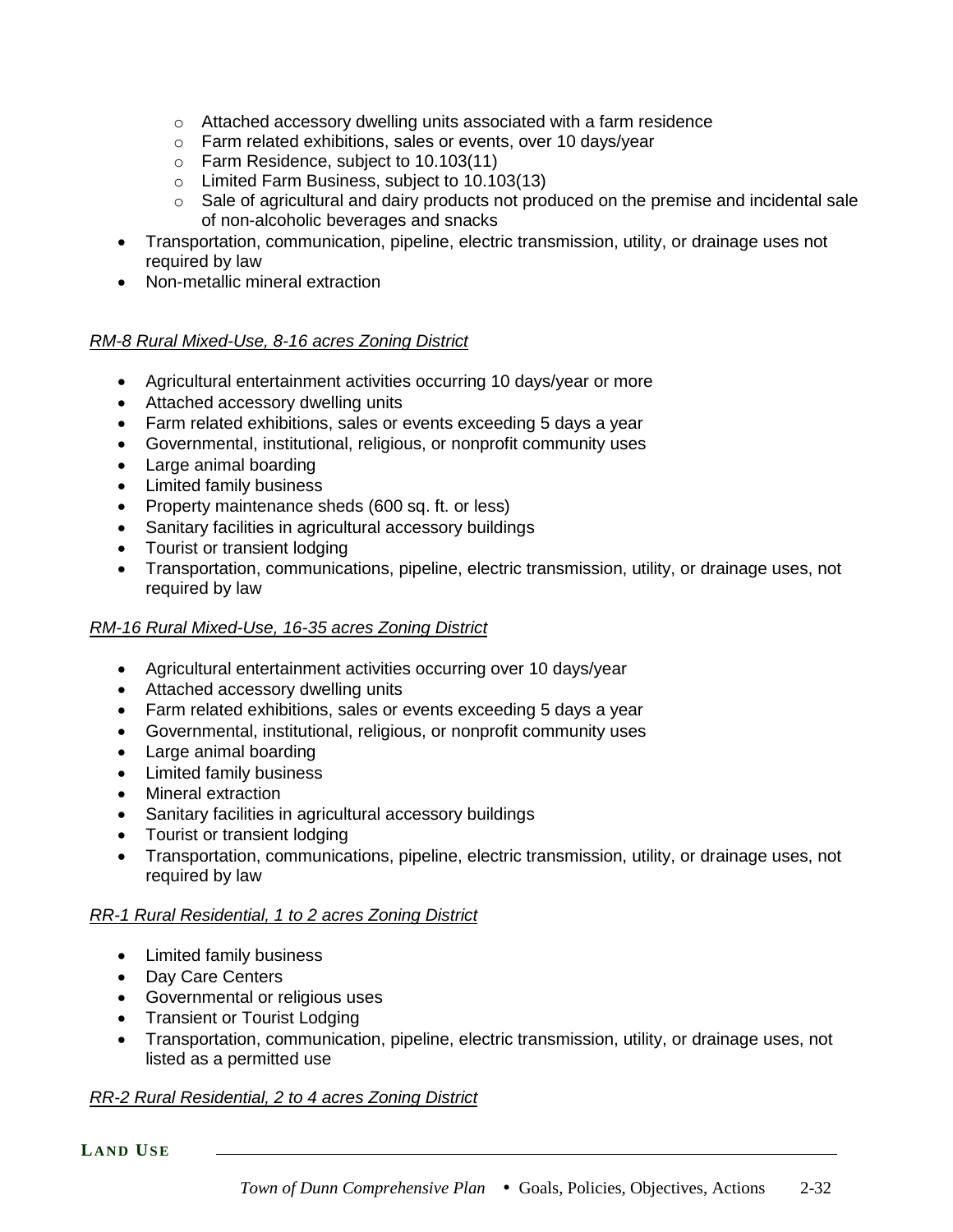- $\circ$  Attached accessory dwelling units associated with a farm residence
- o Farm related exhibitions, sales or events, over 10 days/year
- o Farm Residence, subject to 10.103(11)
- o Limited Farm Business, subject to 10.103(13)
- $\circ$  Sale of agricultural and dairy products not produced on the premise and incidental sale of non-alcoholic beverages and snacks
- Transportation, communication, pipeline, electric transmission, utility, or drainage uses not required by law
- Non-metallic mineral extraction

### *RM-8 Rural Mixed-Use, 8-16 acres Zoning District*

- Agricultural entertainment activities occurring 10 days/year or more
- Attached accessory dwelling units
- Farm related exhibitions, sales or events exceeding 5 days a year
- Governmental, institutional, religious, or nonprofit community uses
- Large animal boarding
- Limited family business
- Property maintenance sheds (600 sq. ft. or less)
- Sanitary facilities in agricultural accessory buildings
- Tourist or transient lodging
- Transportation, communications, pipeline, electric transmission, utility, or drainage uses, not required by law

### *RM-16 Rural Mixed-Use, 16-35 acres Zoning District*

- Agricultural entertainment activities occurring over 10 days/year
- Attached accessory dwelling units
- Farm related exhibitions, sales or events exceeding 5 days a year
- Governmental, institutional, religious, or nonprofit community uses
- Large animal boarding
- Limited family business
- Mineral extraction
- Sanitary facilities in agricultural accessory buildings
- Tourist or transient lodging
- Transportation, communications, pipeline, electric transmission, utility, or drainage uses, not required by law

# *RR-1 Rural Residential, 1 to 2 acres Zoning District*

- Limited family business
- Day Care Centers
- Governmental or religious uses
- Transient or Tourist Lodging
- Transportation, communication, pipeline, electric transmission, utility, or drainage uses, not listed as a permitted use

### *RR-2 Rural Residential, 2 to 4 acres Zoning District*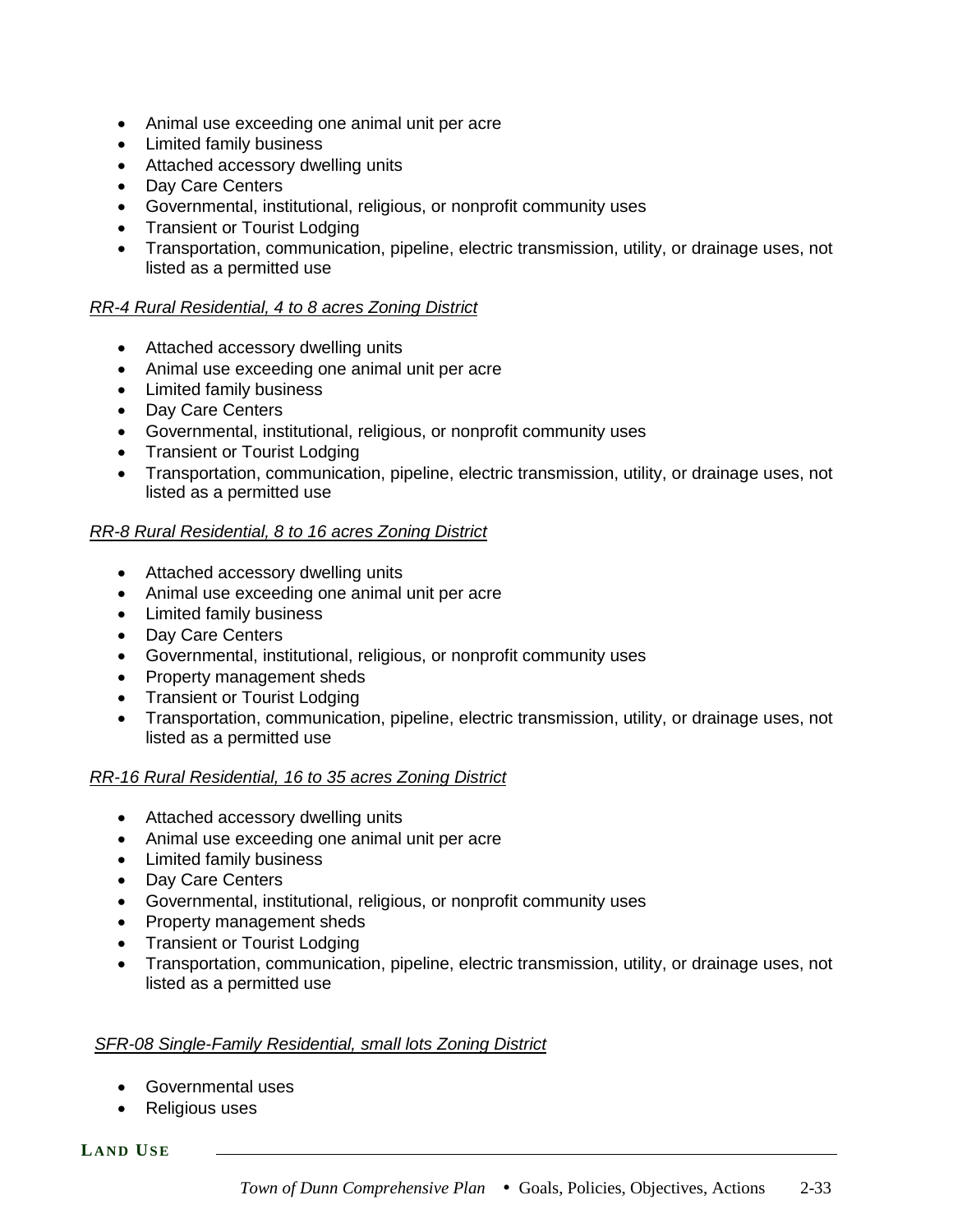- Animal use exceeding one animal unit per acre
- Limited family business
- Attached accessory dwelling units
- Day Care Centers
- Governmental, institutional, religious, or nonprofit community uses
- Transient or Tourist Lodging
- Transportation, communication, pipeline, electric transmission, utility, or drainage uses, not listed as a permitted use

#### *RR-4 Rural Residential, 4 to 8 acres Zoning District*

- Attached accessory dwelling units
- Animal use exceeding one animal unit per acre
- Limited family business
- Day Care Centers
- Governmental, institutional, religious, or nonprofit community uses
- Transient or Tourist Lodging
- Transportation, communication, pipeline, electric transmission, utility, or drainage uses, not listed as a permitted use

#### *RR-8 Rural Residential, 8 to 16 acres Zoning District*

- Attached accessory dwelling units
- Animal use exceeding one animal unit per acre
- Limited family business
- Day Care Centers
- Governmental, institutional, religious, or nonprofit community uses
- Property management sheds
- Transient or Tourist Lodging
- Transportation, communication, pipeline, electric transmission, utility, or drainage uses, not listed as a permitted use

#### *RR-16 Rural Residential, 16 to 35 acres Zoning District*

- Attached accessory dwelling units
- Animal use exceeding one animal unit per acre
- Limited family business
- Day Care Centers
- Governmental, institutional, religious, or nonprofit community uses
- Property management sheds
- Transient or Tourist Lodging
- Transportation, communication, pipeline, electric transmission, utility, or drainage uses, not listed as a permitted use

#### *SFR-08 Single-Family Residential, small lots Zoning District*

- Governmental uses
- Religious uses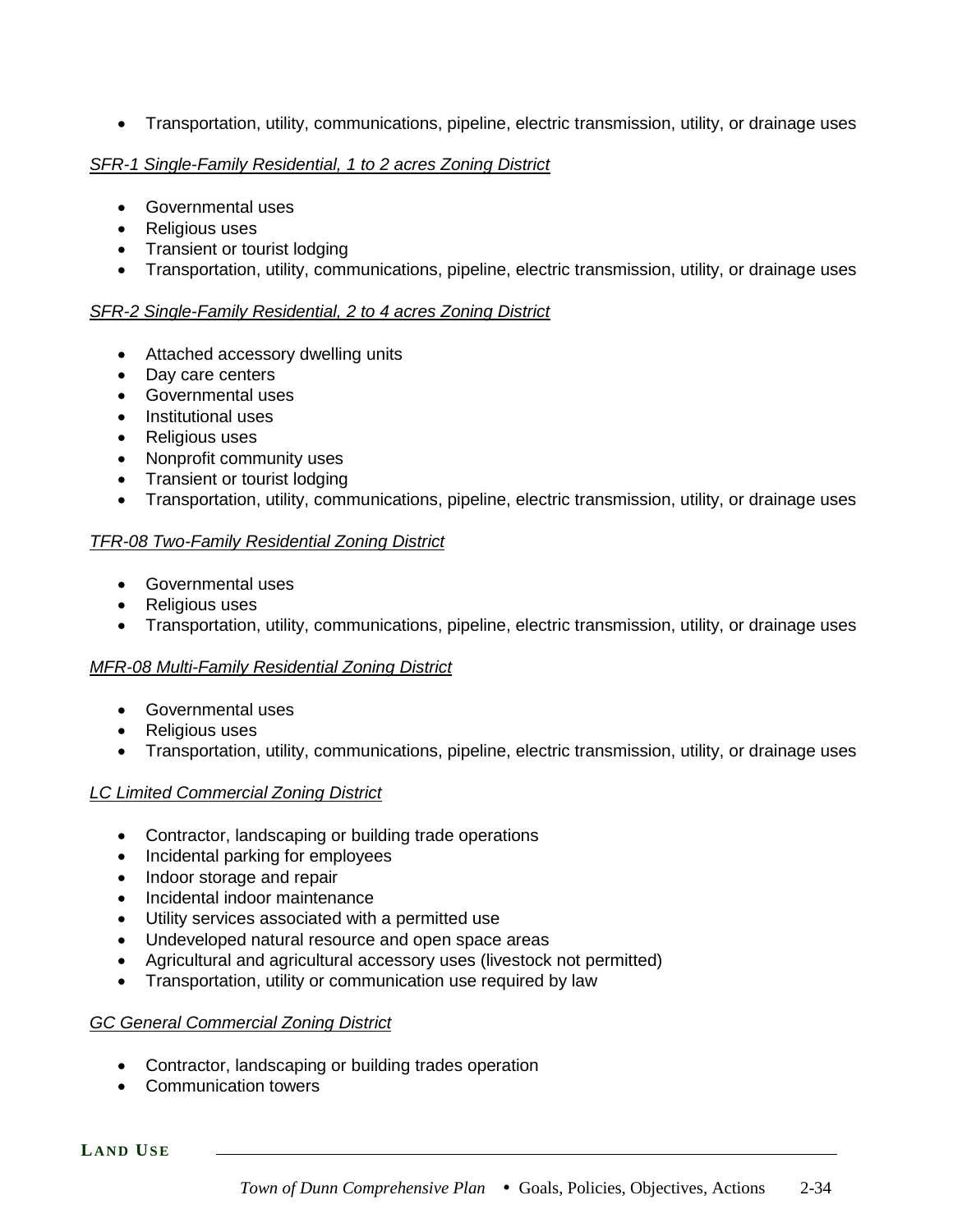• Transportation, utility, communications, pipeline, electric transmission, utility, or drainage uses

### *SFR-1 Single-Family Residential, 1 to 2 acres Zoning District*

- Governmental uses
- Religious uses
- Transient or tourist lodging
- Transportation, utility, communications, pipeline, electric transmission, utility, or drainage uses

### *SFR-2 Single-Family Residential, 2 to 4 acres Zoning District*

- Attached accessory dwelling units
- Day care centers
- Governmental uses
- Institutional uses
- Religious uses
- Nonprofit community uses
- Transient or tourist lodging
- Transportation, utility, communications, pipeline, electric transmission, utility, or drainage uses

### *TFR-08 Two-Family Residential Zoning District*

- Governmental uses
- Religious uses
- Transportation, utility, communications, pipeline, electric transmission, utility, or drainage uses

### *MFR-08 Multi-Family Residential Zoning District*

- Governmental uses
- Religious uses
- Transportation, utility, communications, pipeline, electric transmission, utility, or drainage uses

### *LC Limited Commercial Zoning District*

- Contractor, landscaping or building trade operations
- Incidental parking for employees
- Indoor storage and repair
- Incidental indoor maintenance
- Utility services associated with a permitted use
- Undeveloped natural resource and open space areas
- Agricultural and agricultural accessory uses (livestock not permitted)
- Transportation, utility or communication use required by law

### *GC General Commercial Zoning District*

- Contractor, landscaping or building trades operation
- Communication towers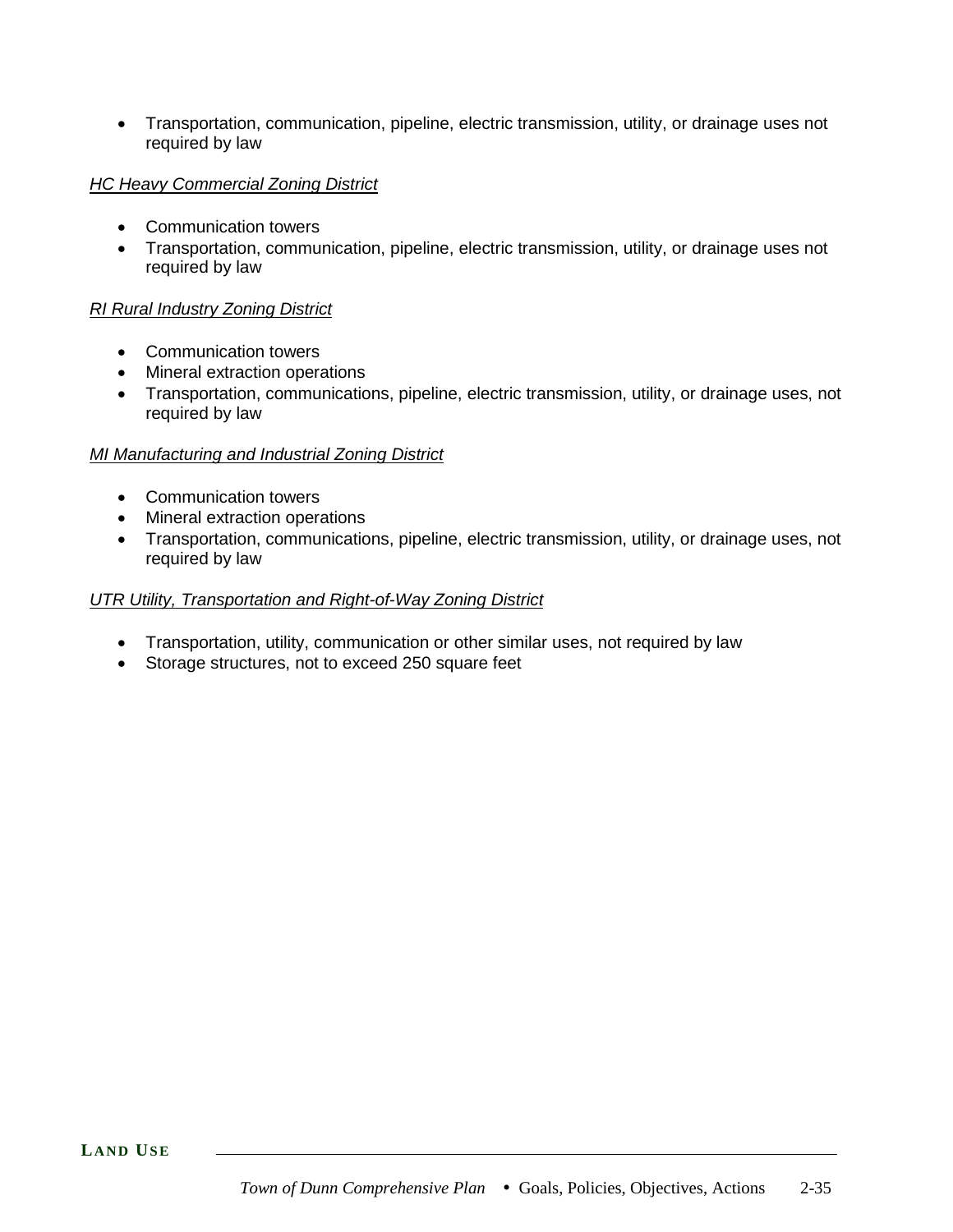• Transportation, communication, pipeline, electric transmission, utility, or drainage uses not required by law

### *HC Heavy Commercial Zoning District*

- Communication towers
- Transportation, communication, pipeline, electric transmission, utility, or drainage uses not required by law

### *RI Rural Industry Zoning District*

- Communication towers
- Mineral extraction operations
- Transportation, communications, pipeline, electric transmission, utility, or drainage uses, not required by law

### *MI Manufacturing and Industrial Zoning District*

- Communication towers
- Mineral extraction operations
- Transportation, communications, pipeline, electric transmission, utility, or drainage uses, not required by law

### *UTR Utility, Transportation and Right-of-Way Zoning District*

- Transportation, utility, communication or other similar uses, not required by law
- Storage structures, not to exceed 250 square feet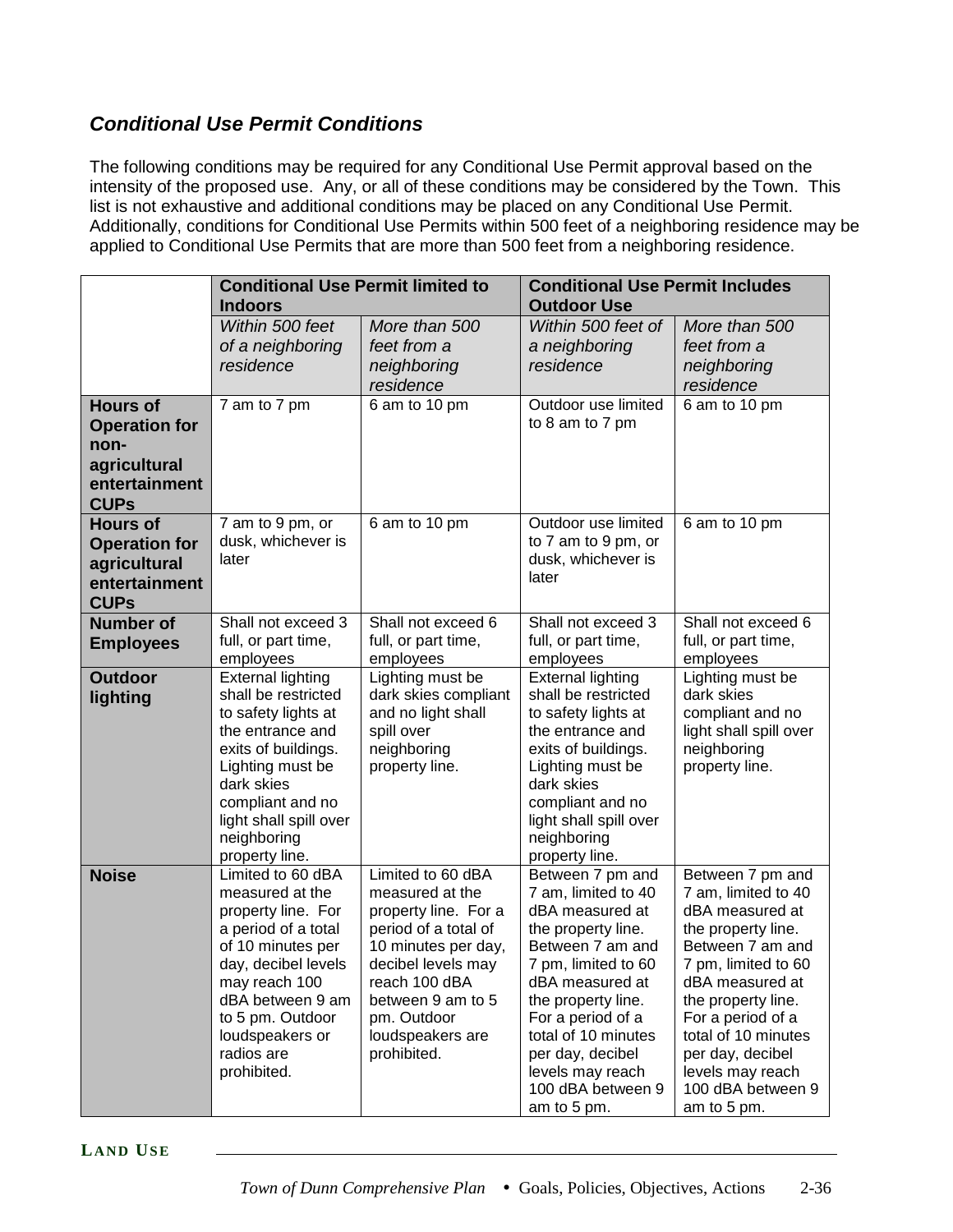# *Conditional Use Permit Conditions*

The following conditions may be required for any Conditional Use Permit approval based on the intensity of the proposed use. Any, or all of these conditions may be considered by the Town. This list is not exhaustive and additional conditions may be placed on any Conditional Use Permit. Additionally, conditions for Conditional Use Permits within 500 feet of a neighboring residence may be applied to Conditional Use Permits that are more than 500 feet from a neighboring residence.

|                                                                                                 | <b>Conditional Use Permit limited to</b><br><b>Indoors</b>                                                                                                                                                                             |                                                                                                                                                                                                                           | <b>Conditional Use Permit Includes</b><br><b>Outdoor Use</b>                                                                                                                                                                                                                                 |                                                                                                                                                                                                                                                                                              |
|-------------------------------------------------------------------------------------------------|----------------------------------------------------------------------------------------------------------------------------------------------------------------------------------------------------------------------------------------|---------------------------------------------------------------------------------------------------------------------------------------------------------------------------------------------------------------------------|----------------------------------------------------------------------------------------------------------------------------------------------------------------------------------------------------------------------------------------------------------------------------------------------|----------------------------------------------------------------------------------------------------------------------------------------------------------------------------------------------------------------------------------------------------------------------------------------------|
|                                                                                                 | Within 500 feet<br>of a neighboring<br>residence                                                                                                                                                                                       | More than 500<br>feet from a<br>neighboring<br>residence                                                                                                                                                                  | Within 500 feet of<br>a neighboring<br>residence                                                                                                                                                                                                                                             | More than 500<br>feet from a<br>neighboring<br>residence                                                                                                                                                                                                                                     |
| <b>Hours of</b><br><b>Operation for</b><br>non-<br>agricultural<br>entertainment<br><b>CUPs</b> | 7 am to 7 pm                                                                                                                                                                                                                           | 6 am to 10 pm                                                                                                                                                                                                             | Outdoor use limited<br>to 8 am to 7 pm                                                                                                                                                                                                                                                       | 6 am to 10 pm                                                                                                                                                                                                                                                                                |
| <b>Hours of</b><br><b>Operation for</b><br>agricultural<br>entertainment<br><b>CUPs</b>         | 7 am to 9 pm, or<br>dusk, whichever is<br>later                                                                                                                                                                                        | 6 am to 10 pm                                                                                                                                                                                                             | Outdoor use limited<br>to 7 am to 9 pm, or<br>dusk, whichever is<br>later                                                                                                                                                                                                                    | 6 am to 10 pm                                                                                                                                                                                                                                                                                |
| <b>Number</b> of<br><b>Employees</b>                                                            | Shall not exceed 3<br>full, or part time,<br>employees                                                                                                                                                                                 | Shall not exceed 6<br>full, or part time,<br>employees                                                                                                                                                                    | Shall not exceed 3<br>full, or part time,<br>employees                                                                                                                                                                                                                                       | Shall not exceed 6<br>full, or part time,<br>employees                                                                                                                                                                                                                                       |
| <b>Outdoor</b><br>lighting                                                                      | <b>External lighting</b><br>shall be restricted<br>to safety lights at<br>the entrance and<br>exits of buildings.<br>Lighting must be<br>dark skies<br>compliant and no<br>light shall spill over<br>neighboring<br>property line.     | Lighting must be<br>dark skies compliant<br>and no light shall<br>spill over<br>neighboring<br>property line.                                                                                                             | <b>External lighting</b><br>shall be restricted<br>to safety lights at<br>the entrance and<br>exits of buildings.<br>Lighting must be<br>dark skies<br>compliant and no<br>light shall spill over<br>neighboring<br>property line.                                                           | Lighting must be<br>dark skies<br>compliant and no<br>light shall spill over<br>neighboring<br>property line.                                                                                                                                                                                |
| <b>Noise</b>                                                                                    | Limited to 60 dBA<br>measured at the<br>property line. For<br>a period of a total<br>of 10 minutes per<br>day, decibel levels<br>may reach 100<br>dBA between 9 am<br>to 5 pm. Outdoor<br>loudspeakers or<br>radios are<br>prohibited. | Limited to 60 dBA<br>measured at the<br>property line. For a<br>period of a total of<br>10 minutes per day,<br>decibel levels may<br>reach 100 dBA<br>between 9 am to 5<br>pm. Outdoor<br>loudspeakers are<br>prohibited. | Between 7 pm and<br>7 am, limited to 40<br>dBA measured at<br>the property line.<br>Between 7 am and<br>7 pm, limited to 60<br>dBA measured at<br>the property line.<br>For a period of a<br>total of 10 minutes<br>per day, decibel<br>levels may reach<br>100 dBA between 9<br>am to 5 pm. | Between 7 pm and<br>7 am, limited to 40<br>dBA measured at<br>the property line.<br>Between 7 am and<br>7 pm, limited to 60<br>dBA measured at<br>the property line.<br>For a period of a<br>total of 10 minutes<br>per day, decibel<br>levels may reach<br>100 dBA between 9<br>am to 5 pm. |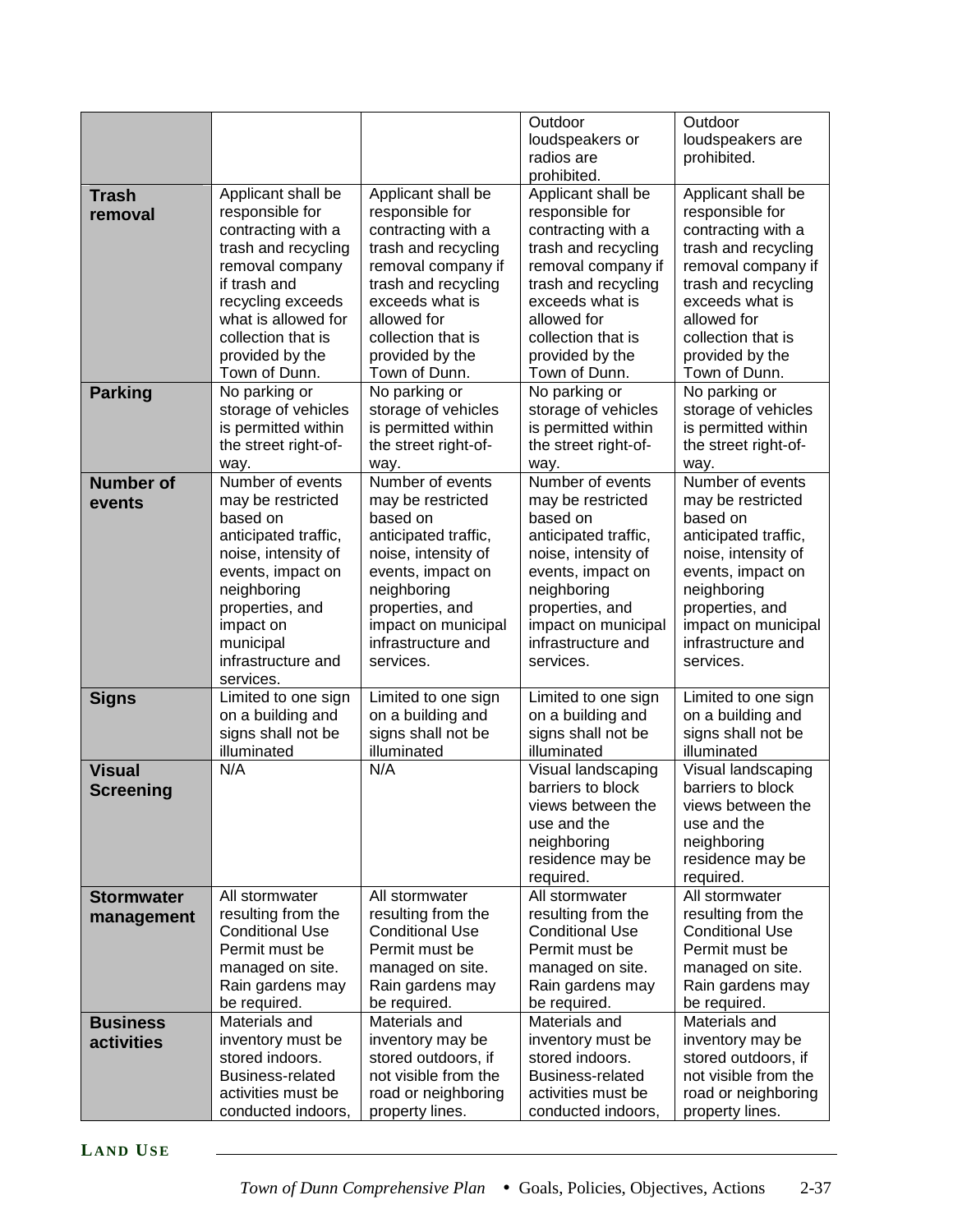|                                   |                                                                                                                                                                                                                             |                                                                                                                                                                                                                             | Outdoor<br>loudspeakers or<br>radios are                                                                                                                                                                                    | Outdoor<br>loudspeakers are<br>prohibited.                                                                                                                                                                                  |
|-----------------------------------|-----------------------------------------------------------------------------------------------------------------------------------------------------------------------------------------------------------------------------|-----------------------------------------------------------------------------------------------------------------------------------------------------------------------------------------------------------------------------|-----------------------------------------------------------------------------------------------------------------------------------------------------------------------------------------------------------------------------|-----------------------------------------------------------------------------------------------------------------------------------------------------------------------------------------------------------------------------|
|                                   |                                                                                                                                                                                                                             |                                                                                                                                                                                                                             | prohibited.                                                                                                                                                                                                                 |                                                                                                                                                                                                                             |
| <b>Trash</b><br>removal           | Applicant shall be<br>responsible for<br>contracting with a<br>trash and recycling<br>removal company<br>if trash and<br>recycling exceeds<br>what is allowed for<br>collection that is<br>provided by the<br>Town of Dunn. | Applicant shall be<br>responsible for<br>contracting with a<br>trash and recycling<br>removal company if<br>trash and recycling<br>exceeds what is<br>allowed for<br>collection that is<br>provided by the<br>Town of Dunn. | Applicant shall be<br>responsible for<br>contracting with a<br>trash and recycling<br>removal company if<br>trash and recycling<br>exceeds what is<br>allowed for<br>collection that is<br>provided by the<br>Town of Dunn. | Applicant shall be<br>responsible for<br>contracting with a<br>trash and recycling<br>removal company if<br>trash and recycling<br>exceeds what is<br>allowed for<br>collection that is<br>provided by the<br>Town of Dunn. |
| <b>Parking</b>                    | No parking or<br>storage of vehicles<br>is permitted within<br>the street right-of-<br>way.                                                                                                                                 | No parking or<br>storage of vehicles<br>is permitted within<br>the street right-of-<br>way.                                                                                                                                 | No parking or<br>storage of vehicles<br>is permitted within<br>the street right-of-<br>way.                                                                                                                                 | No parking or<br>storage of vehicles<br>is permitted within<br>the street right-of-<br>way.                                                                                                                                 |
| <b>Number of</b><br>events        | Number of events<br>may be restricted<br>based on<br>anticipated traffic,<br>noise, intensity of<br>events, impact on<br>neighboring<br>properties, and<br>impact on<br>municipal<br>infrastructure and<br>services.        | Number of events<br>may be restricted<br>based on<br>anticipated traffic,<br>noise, intensity of<br>events, impact on<br>neighboring<br>properties, and<br>impact on municipal<br>infrastructure and<br>services.           | Number of events<br>may be restricted<br>based on<br>anticipated traffic,<br>noise, intensity of<br>events, impact on<br>neighboring<br>properties, and<br>impact on municipal<br>infrastructure and<br>services.           | Number of events<br>may be restricted<br>based on<br>anticipated traffic,<br>noise, intensity of<br>events, impact on<br>neighboring<br>properties, and<br>impact on municipal<br>infrastructure and<br>services.           |
| <b>Signs</b>                      | Limited to one sign<br>on a building and<br>signs shall not be<br>illuminated                                                                                                                                               | Limited to one sign<br>on a building and<br>signs shall not be<br>illuminated                                                                                                                                               | Limited to one sign<br>on a building and<br>signs shall not be<br>illuminated                                                                                                                                               | Limited to one sign<br>on a building and<br>signs shall not be<br>illuminated                                                                                                                                               |
| <b>Visual</b><br><b>Screening</b> | N/A                                                                                                                                                                                                                         | N/A                                                                                                                                                                                                                         | Visual landscaping<br>barriers to block<br>views between the<br>use and the<br>neighboring<br>residence may be<br>required.                                                                                                 | Visual landscaping<br>barriers to block<br>views between the<br>use and the<br>neighboring<br>residence may be<br>required.                                                                                                 |
| <b>Stormwater</b><br>management   | All stormwater<br>resulting from the<br><b>Conditional Use</b><br>Permit must be<br>managed on site.<br>Rain gardens may<br>be required.                                                                                    | All stormwater<br>resulting from the<br><b>Conditional Use</b><br>Permit must be<br>managed on site.<br>Rain gardens may<br>be required.                                                                                    | All stormwater<br>resulting from the<br><b>Conditional Use</b><br>Permit must be<br>managed on site.<br>Rain gardens may<br>be required.                                                                                    | All stormwater<br>resulting from the<br><b>Conditional Use</b><br>Permit must be<br>managed on site.<br>Rain gardens may<br>be required.                                                                                    |
| <b>Business</b><br>activities     | Materials and<br>inventory must be<br>stored indoors.<br><b>Business-related</b><br>activities must be<br>conducted indoors,                                                                                                | Materials and<br>inventory may be<br>stored outdoors, if<br>not visible from the<br>road or neighboring<br>property lines.                                                                                                  | Materials and<br>inventory must be<br>stored indoors.<br><b>Business-related</b><br>activities must be<br>conducted indoors,                                                                                                | Materials and<br>inventory may be<br>stored outdoors, if<br>not visible from the<br>road or neighboring<br>property lines.                                                                                                  |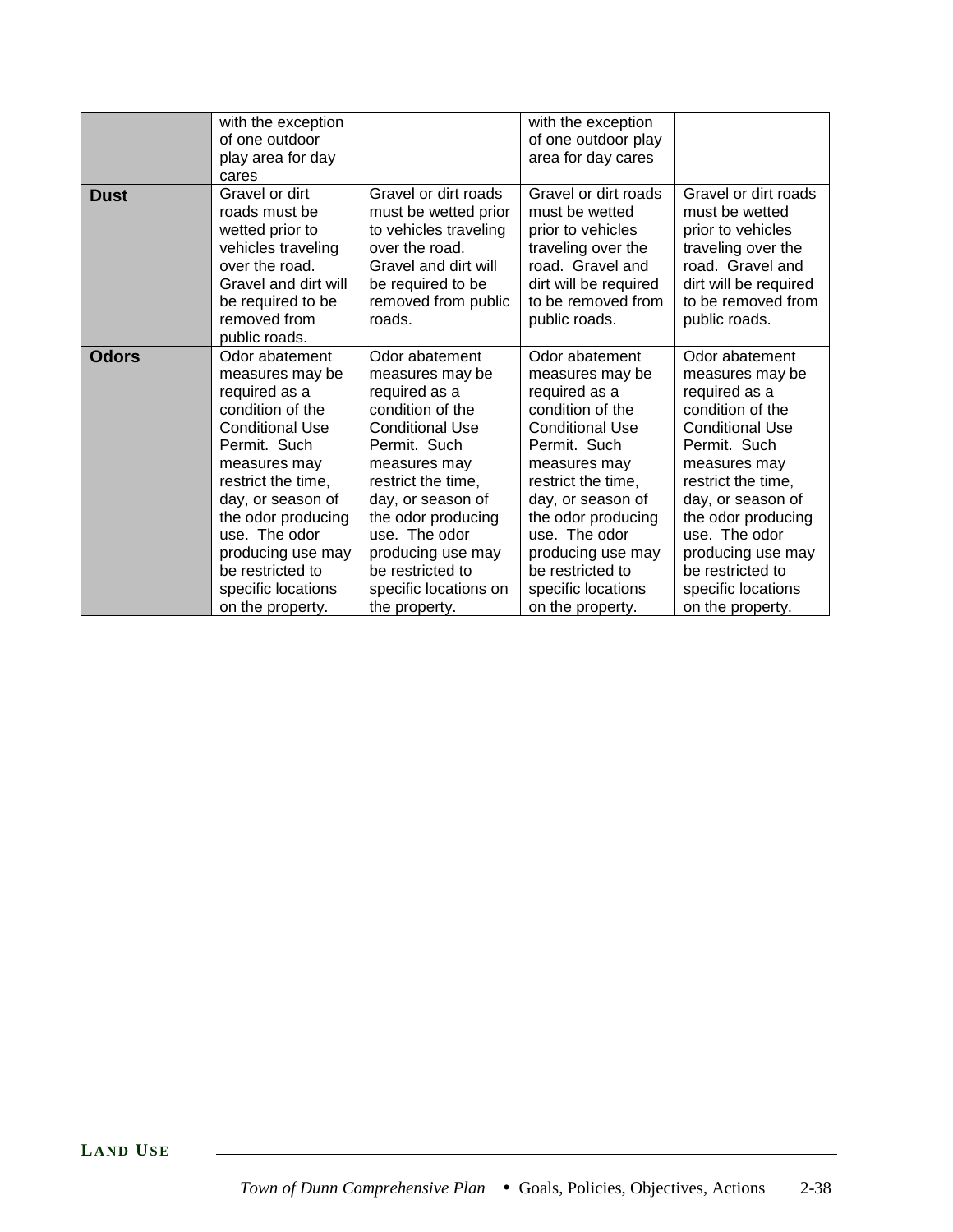|              | with the exception                                                                                                                                                                                                                                                                                    |                                                                                                                                                                                                                                                                                                       | with the exception                                                                                                                                                                                                                                                                                    |                                                                                                                                                                                                                                                                                                       |
|--------------|-------------------------------------------------------------------------------------------------------------------------------------------------------------------------------------------------------------------------------------------------------------------------------------------------------|-------------------------------------------------------------------------------------------------------------------------------------------------------------------------------------------------------------------------------------------------------------------------------------------------------|-------------------------------------------------------------------------------------------------------------------------------------------------------------------------------------------------------------------------------------------------------------------------------------------------------|-------------------------------------------------------------------------------------------------------------------------------------------------------------------------------------------------------------------------------------------------------------------------------------------------------|
|              | of one outdoor                                                                                                                                                                                                                                                                                        |                                                                                                                                                                                                                                                                                                       | of one outdoor play                                                                                                                                                                                                                                                                                   |                                                                                                                                                                                                                                                                                                       |
|              | play area for day                                                                                                                                                                                                                                                                                     |                                                                                                                                                                                                                                                                                                       | area for day cares                                                                                                                                                                                                                                                                                    |                                                                                                                                                                                                                                                                                                       |
|              | cares                                                                                                                                                                                                                                                                                                 |                                                                                                                                                                                                                                                                                                       |                                                                                                                                                                                                                                                                                                       |                                                                                                                                                                                                                                                                                                       |
| <b>Dust</b>  | Gravel or dirt<br>roads must be<br>wetted prior to<br>vehicles traveling<br>over the road.<br>Gravel and dirt will<br>be required to be<br>removed from<br>public roads.                                                                                                                              | Gravel or dirt roads<br>must be wetted prior<br>to vehicles traveling<br>over the road.<br>Gravel and dirt will<br>be required to be<br>removed from public<br>roads.                                                                                                                                 | Gravel or dirt roads<br>must be wetted<br>prior to vehicles<br>traveling over the<br>road. Gravel and<br>dirt will be required<br>to be removed from<br>public roads.                                                                                                                                 | Gravel or dirt roads<br>must be wetted<br>prior to vehicles<br>traveling over the<br>road. Gravel and<br>dirt will be required<br>to be removed from<br>public roads.                                                                                                                                 |
| <b>Odors</b> | Odor abatement<br>measures may be<br>required as a<br>condition of the<br><b>Conditional Use</b><br>Permit. Such<br>measures may<br>restrict the time,<br>day, or season of<br>the odor producing<br>use. The odor<br>producing use may<br>be restricted to<br>specific locations<br>on the property. | Odor abatement<br>measures may be<br>required as a<br>condition of the<br><b>Conditional Use</b><br>Permit. Such<br>measures may<br>restrict the time,<br>day, or season of<br>the odor producing<br>use. The odor<br>producing use may<br>be restricted to<br>specific locations on<br>the property. | Odor abatement<br>measures may be<br>required as a<br>condition of the<br><b>Conditional Use</b><br>Permit. Such<br>measures may<br>restrict the time,<br>day, or season of<br>the odor producing<br>use. The odor<br>producing use may<br>be restricted to<br>specific locations<br>on the property. | Odor abatement<br>measures may be<br>required as a<br>condition of the<br><b>Conditional Use</b><br>Permit. Such<br>measures may<br>restrict the time,<br>day, or season of<br>the odor producing<br>use. The odor<br>producing use may<br>be restricted to<br>specific locations<br>on the property. |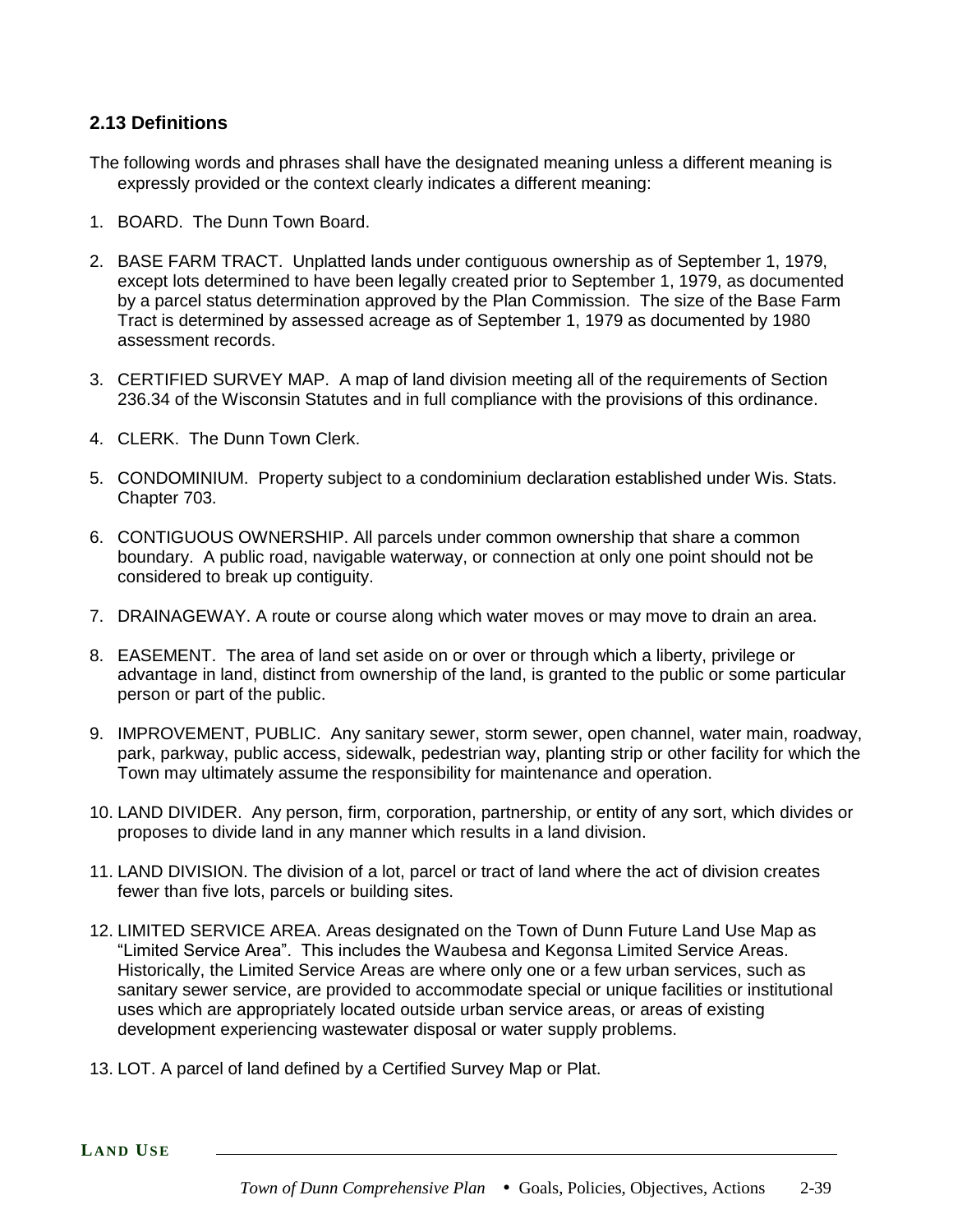# **2.13 Definitions**

- The following words and phrases shall have the designated meaning unless a different meaning is expressly provided or the context clearly indicates a different meaning:
- 1. BOARD. The Dunn Town Board.
- 2. BASE FARM TRACT. Unplatted lands under contiguous ownership as of September 1, 1979, except lots determined to have been legally created prior to September 1, 1979, as documented by a parcel status determination approved by the Plan Commission. The size of the Base Farm Tract is determined by assessed acreage as of September 1, 1979 as documented by 1980 assessment records.
- 3. CERTIFIED SURVEY MAP. A map of land division meeting all of the requirements of Section 236.34 of the Wisconsin Statutes and in full compliance with the provisions of this ordinance.
- 4. CLERK. The Dunn Town Clerk.
- 5. CONDOMINIUM. Property subject to a condominium declaration established under Wis. Stats. Chapter 703.
- 6. CONTIGUOUS OWNERSHIP. All parcels under common ownership that share a common boundary. A public road, navigable waterway, or connection at only one point should not be considered to break up contiguity.
- 7. DRAINAGEWAY. A route or course along which water moves or may move to drain an area.
- 8. EASEMENT. The area of land set aside on or over or through which a liberty, privilege or advantage in land, distinct from ownership of the land, is granted to the public or some particular person or part of the public.
- 9. IMPROVEMENT, PUBLIC. Any sanitary sewer, storm sewer, open channel, water main, roadway, park, parkway, public access, sidewalk, pedestrian way, planting strip or other facility for which the Town may ultimately assume the responsibility for maintenance and operation.
- 10. LAND DIVIDER. Any person, firm, corporation, partnership, or entity of any sort, which divides or proposes to divide land in any manner which results in a land division.
- 11. LAND DIVISION. The division of a lot, parcel or tract of land where the act of division creates fewer than five lots, parcels or building sites.
- 12. LIMITED SERVICE AREA. Areas designated on the Town of Dunn Future Land Use Map as "Limited Service Area". This includes the Waubesa and Kegonsa Limited Service Areas. Historically, the Limited Service Areas are where only one or a few urban services, such as sanitary sewer service, are provided to accommodate special or unique facilities or institutional uses which are appropriately located outside urban service areas, or areas of existing development experiencing wastewater disposal or water supply problems.
- 13. LOT. A parcel of land defined by a Certified Survey Map or Plat.